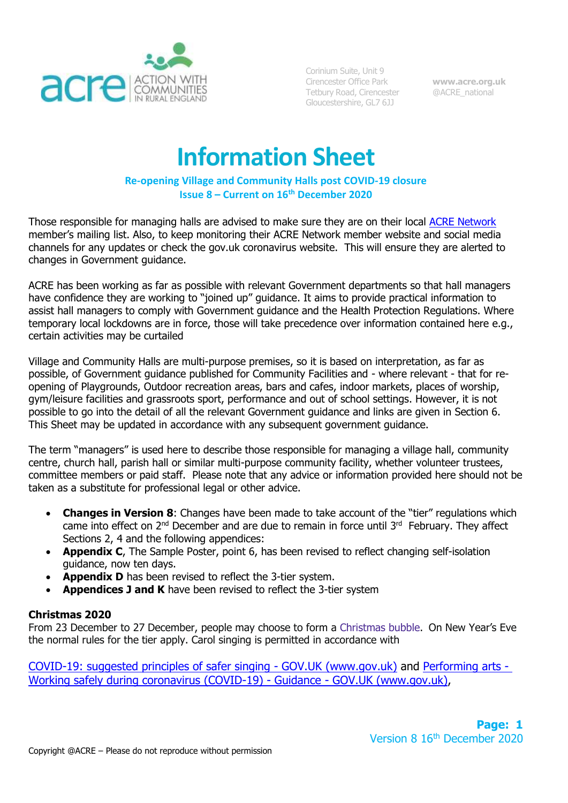

Corinium Suite, Unit 9 Cirencester Office Park Tetbury Road, Cirencester Gloucestershire, GL7 6JJ

**[www.acre.org.uk](http://www.acre.org.uk/)** @ACRE\_national

# **Information Sheet**

## **Re-opening Village and Community Halls post COVID-19 closure Issue 8 – Current on 16th December 2020**

Those responsible for managing halls are advised to make sure they are on their local [ACRE Network](https://acre.org.uk/in-your-area/network-members/) member's mailing list. Also, to keep monitoring their ACRE Network member website and social media channels for any updates or check the gov.uk coronavirus website. This will ensure they are alerted to changes in Government guidance.

ACRE has been working as far as possible with relevant Government departments so that hall managers have confidence they are working to "joined up" guidance. It aims to provide practical information to assist hall managers to comply with Government guidance and the Health Protection Regulations. Where temporary local lockdowns are in force, those will take precedence over information contained here e.g., certain activities may be curtailed

Village and Community Halls are multi-purpose premises, so it is based on interpretation, as far as possible, of Government guidance published for Community Facilities and - where relevant - that for reopening of Playgrounds, Outdoor recreation areas, bars and cafes, indoor markets, places of worship, gym/leisure facilities and grassroots sport, performance and out of school settings. However, it is not possible to go into the detail of all the relevant Government guidance and links are given in Section 6. This Sheet may be updated in accordance with any subsequent government guidance.

The term "managers" is used here to describe those responsible for managing a village hall, community centre, church hall, parish hall or similar multi-purpose community facility, whether volunteer trustees, committee members or paid staff. Please note that any advice or information provided here should not be taken as a substitute for professional legal or other advice.

- **Changes in Version 8**: Changes have been made to take account of the "tier" regulations which came into effect on  $2<sup>nd</sup>$  December and are due to remain in force until  $3<sup>rd</sup>$  February. They affect Sections 2, 4 and the following appendices:
- **Appendix C**, The Sample Poster, point 6, has been revised to reflect changing self-isolation guidance, now ten days.
- **Appendix D** has been revised to reflect the 3-tier system.
- **Appendices J and K** have been revised to reflect the 3-tier system

## **Christmas 2020**

From 23 December to 27 December, people may choose to form a Christmas bubble. On New Year's Eve the normal rules for the tier apply. Carol singing is permitted in accordance with

[COVID-19: suggested principles of safer singing -](http://COVID-19:%20suggested%20principles%20of%20safer%20singing%20-%20GOV.UK%20(www.gov.uk)) GOV.UK (www.gov.uk) and [Performing arts -](https://www.gov.uk/guidance/working-safely-during-coronavirus-covid-19/performing-arts) [Working safely during coronavirus \(COVID-19\) -](https://www.gov.uk/guidance/working-safely-during-coronavirus-covid-19/performing-arts) Guidance - GOV.UK (www.gov.uk),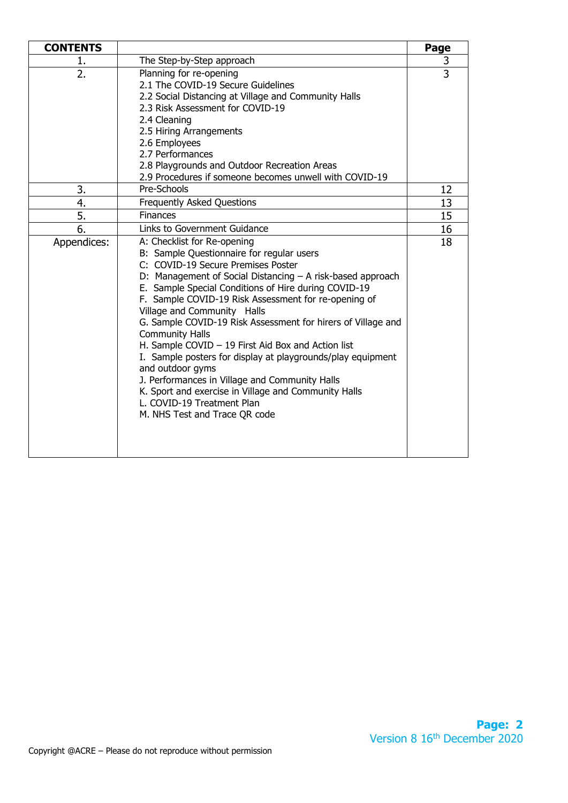| <b>CONTENTS</b> |                                                                                                                                                                                                                                                                                                                                                                                                                                                                                                                                                                                                                                                                                                                                          | Page           |
|-----------------|------------------------------------------------------------------------------------------------------------------------------------------------------------------------------------------------------------------------------------------------------------------------------------------------------------------------------------------------------------------------------------------------------------------------------------------------------------------------------------------------------------------------------------------------------------------------------------------------------------------------------------------------------------------------------------------------------------------------------------------|----------------|
| 1.              | The Step-by-Step approach                                                                                                                                                                                                                                                                                                                                                                                                                                                                                                                                                                                                                                                                                                                | 3              |
| 2.              | Planning for re-opening<br>2.1 The COVID-19 Secure Guidelines<br>2.2 Social Distancing at Village and Community Halls<br>2.3 Risk Assessment for COVID-19<br>2.4 Cleaning<br>2.5 Hiring Arrangements<br>2.6 Employees<br>2.7 Performances<br>2.8 Playgrounds and Outdoor Recreation Areas<br>2.9 Procedures if someone becomes unwell with COVID-19                                                                                                                                                                                                                                                                                                                                                                                      | $\overline{3}$ |
| 3.              | Pre-Schools                                                                                                                                                                                                                                                                                                                                                                                                                                                                                                                                                                                                                                                                                                                              | 12             |
| 4.              | Frequently Asked Questions                                                                                                                                                                                                                                                                                                                                                                                                                                                                                                                                                                                                                                                                                                               | 13             |
| 5.              | <b>Finances</b>                                                                                                                                                                                                                                                                                                                                                                                                                                                                                                                                                                                                                                                                                                                          | 15             |
| 6.              | Links to Government Guidance                                                                                                                                                                                                                                                                                                                                                                                                                                                                                                                                                                                                                                                                                                             | 16             |
| Appendices:     | A: Checklist for Re-opening<br>B: Sample Questionnaire for regular users<br>C: COVID-19 Secure Premises Poster<br>D: Management of Social Distancing - A risk-based approach<br>E. Sample Special Conditions of Hire during COVID-19<br>F. Sample COVID-19 Risk Assessment for re-opening of<br>Village and Community Halls<br>G. Sample COVID-19 Risk Assessment for hirers of Village and<br><b>Community Halls</b><br>H. Sample COVID $-19$ First Aid Box and Action list<br>I. Sample posters for display at playgrounds/play equipment<br>and outdoor gyms<br>J. Performances in Village and Community Halls<br>K. Sport and exercise in Village and Community Halls<br>L. COVID-19 Treatment Plan<br>M. NHS Test and Trace QR code | 18             |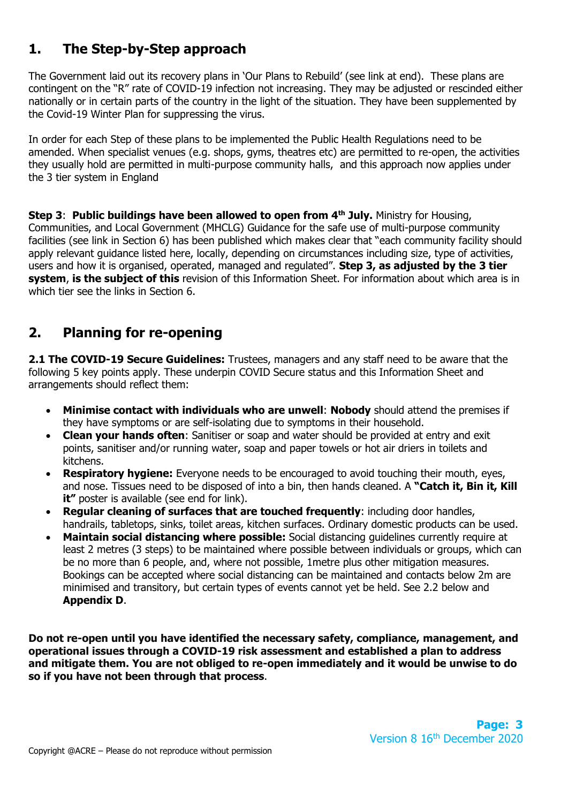# **1. The Step-by-Step approach**

The Government laid out its recovery plans in 'Our Plans to Rebuild' (see link at end). These plans are contingent on the "R" rate of COVID-19 infection not increasing. They may be adjusted or rescinded either nationally or in certain parts of the country in the light of the situation. They have been supplemented by the Covid-19 Winter Plan for suppressing the virus.

In order for each Step of these plans to be implemented the Public Health Regulations need to be amended. When specialist venues (e.g. shops, gyms, theatres etc) are permitted to re-open, the activities they usually hold are permitted in multi-purpose community halls, and this approach now applies under the 3 tier system in England

**Step 3**: **Public buildings have been allowed to open from 4th July.** Ministry for Housing, Communities, and Local Government (MHCLG) Guidance for the safe use of multi-purpose community facilities (see link in Section 6) has been published which makes clear that "each community facility should apply relevant guidance listed here, locally, depending on circumstances including size, type of activities, users and how it is organised, operated, managed and regulated". **Step 3, as adjusted by the 3 tier system**, **is the subject of this** revision of this Information Sheet. For information about which area is in which tier see the links in Section 6.

# **2. Planning for re-opening**

**2.1 The COVID-19 Secure Guidelines:** Trustees, managers and any staff need to be aware that the following 5 key points apply. These underpin COVID Secure status and this Information Sheet and arrangements should reflect them:

- **Minimise contact with individuals who are unwell**: **Nobody** should attend the premises if they have symptoms or are self-isolating due to symptoms in their household.
- **Clean your hands often**: Sanitiser or soap and water should be provided at entry and exit points, sanitiser and/or running water, soap and paper towels or hot air driers in toilets and kitchens.
- **Respiratory hygiene:** Everyone needs to be encouraged to avoid touching their mouth, eyes, and nose. Tissues need to be disposed of into a bin, then hands cleaned. A **"Catch it, Bin it, Kill it**" poster is available (see end for link).
- **Regular cleaning of surfaces that are touched frequently**: including door handles, handrails, tabletops, sinks, toilet areas, kitchen surfaces. Ordinary domestic products can be used.
- **Maintain social distancing where possible:** Social distancing guidelines currently require at least 2 metres (3 steps) to be maintained where possible between individuals or groups, which can be no more than 6 people, and, where not possible, 1metre plus other mitigation measures. Bookings can be accepted where social distancing can be maintained and contacts below 2m are minimised and transitory, but certain types of events cannot yet be held. See 2.2 below and **Appendix D**.

**Do not re-open until you have identified the necessary safety, compliance, management, and operational issues through a COVID-19 risk assessment and established a plan to address and mitigate them. You are not obliged to re-open immediately and it would be unwise to do so if you have not been through that process**.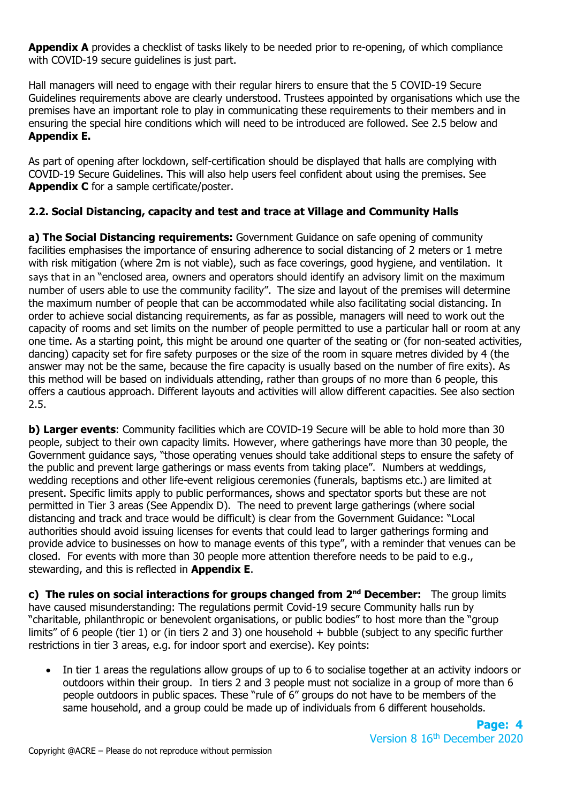**Appendix A** provides a checklist of tasks likely to be needed prior to re-opening, of which compliance with COVID-19 secure guidelines is just part.

Hall managers will need to engage with their regular hirers to ensure that the 5 COVID-19 Secure Guidelines requirements above are clearly understood. Trustees appointed by organisations which use the premises have an important role to play in communicating these requirements to their members and in ensuring the special hire conditions which will need to be introduced are followed. See 2.5 below and **Appendix E.**

As part of opening after lockdown, self-certification should be displayed that halls are complying with COVID-19 Secure Guidelines. This will also help users feel confident about using the premises. See **Appendix C** for a sample certificate/poster.

# **2.2. Social Distancing, capacity and test and trace at Village and Community Halls**

**a) The Social Distancing requirements:** Government Guidance on safe opening of community facilities emphasises the importance of ensuring adherence to social distancing of 2 meters or 1 metre with risk mitigation (where 2m is not viable), such as face coverings, good hygiene, and ventilation.It says that in an "enclosed area, owners and operators should identify an advisory limit on the maximum number of users able to use the community facility". The size and layout of the premises will determine the maximum number of people that can be accommodated while also facilitating social distancing. In order to achieve social distancing requirements, as far as possible, managers will need to work out the capacity of rooms and set limits on the number of people permitted to use a particular hall or room at any one time. As a starting point, this might be around one quarter of the seating or (for non-seated activities, dancing) capacity set for fire safety purposes or the size of the room in square metres divided by 4 (the answer may not be the same, because the fire capacity is usually based on the number of fire exits). As this method will be based on individuals attending, rather than groups of no more than 6 people, this offers a cautious approach. Different layouts and activities will allow different capacities. See also section 2.5.

**b) Larger events**: Community facilities which are COVID-19 Secure will be able to hold more than 30 people, subject to their own capacity limits. However, where gatherings have more than 30 people, the Government guidance says, "those operating venues should take additional steps to ensure the safety of the public and prevent large gatherings or mass events from taking place". Numbers at weddings, wedding receptions and other life-event religious ceremonies (funerals, baptisms etc.) are limited at present. Specific limits apply to public performances, shows and spectator sports but these are not permitted in Tier 3 areas (See Appendix D). The need to prevent large gatherings (where social distancing and track and trace would be difficult) is clear from the Government Guidance: "Local authorities should avoid issuing licenses for events that could lead to larger gatherings forming and provide advice to businesses on how to manage events of this type", with a reminder that venues can be closed. For events with more than 30 people more attention therefore needs to be paid to e.g., stewarding, and this is reflected in **Appendix E**.

**c)** The rules on social interactions for groups changed from 2<sup>nd</sup> December: The group limits have caused misunderstanding: The regulations permit Covid-19 secure Community halls run by "charitable, philanthropic or benevolent organisations, or public bodies" to host more than the "group limits" of 6 people (tier 1) or (in tiers 2 and 3) one household + bubble (subject to any specific further restrictions in tier 3 areas, e.g. for indoor sport and exercise). Key points:

• In tier 1 areas the regulations allow groups of up to 6 to socialise together at an activity indoors or outdoors within their group. In tiers 2 and 3 people must not socialize in a group of more than 6 people outdoors in public spaces. These "rule of 6" groups do not have to be members of the same household, and a group could be made up of individuals from 6 different households.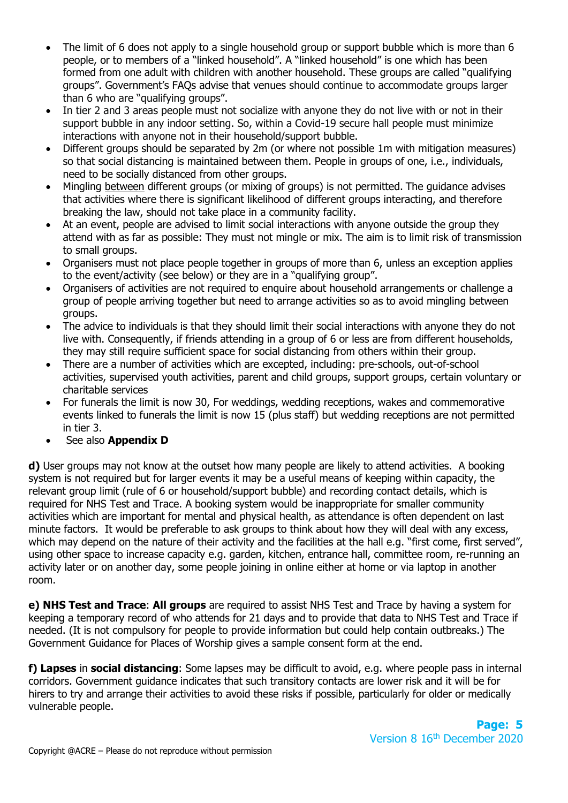- The limit of 6 does not apply to a single household group or support bubble which is more than 6 people, or to members of a "linked household". A "linked household" is one which has been formed from one adult with children with another household. These groups are called "qualifying groups". Government's FAQs advise that venues should continue to accommodate groups larger than 6 who are "qualifying groups".
- In tier 2 and 3 areas people must not socialize with anyone they do not live with or not in their support bubble in any indoor setting. So, within a Covid-19 secure hall people must minimize interactions with anyone not in their household/support bubble.
- Different groups should be separated by 2m (or where not possible 1m with mitigation measures) so that social distancing is maintained between them. People in groups of one, i.e., individuals, need to be socially distanced from other groups.
- Mingling between different groups (or mixing of groups) is not permitted. The guidance advises that activities where there is significant likelihood of different groups interacting, and therefore breaking the law, should not take place in a community facility.
- At an event, people are advised to limit social interactions with anyone outside the group they attend with as far as possible: They must not mingle or mix. The aim is to limit risk of transmission to small groups.
- Organisers must not place people together in groups of more than 6, unless an exception applies to the event/activity (see below) or they are in a "qualifying group".
- Organisers of activities are not required to enquire about household arrangements or challenge a group of people arriving together but need to arrange activities so as to avoid mingling between groups.
- The advice to individuals is that they should limit their social interactions with anyone they do not live with. Consequently, if friends attending in a group of 6 or less are from different households, they may still require sufficient space for social distancing from others within their group.
- There are a number of activities which are excepted, including: pre-schools, out-of-school activities, supervised youth activities, parent and child groups, support groups, certain voluntary or charitable services
- For funerals the limit is now 30, For weddings, wedding receptions, wakes and commemorative events linked to funerals the limit is now 15 (plus staff) but wedding receptions are not permitted in tier 3.
- See also **Appendix D**

**d)** User groups may not know at the outset how many people are likely to attend activities. A booking system is not required but for larger events it may be a useful means of keeping within capacity, the relevant group limit (rule of 6 or household/support bubble) and recording contact details, which is required for NHS Test and Trace. A booking system would be inappropriate for smaller community activities which are important for mental and physical health, as attendance is often dependent on last minute factors. It would be preferable to ask groups to think about how they will deal with any excess, which may depend on the nature of their activity and the facilities at the hall e.g. "first come, first served", using other space to increase capacity e.g. garden, kitchen, entrance hall, committee room, re-running an activity later or on another day, some people joining in online either at home or via laptop in another room.

**e) NHS Test and Trace**: **All groups** are required to assist NHS Test and Trace by having a system for keeping a temporary record of who attends for 21 days and to provide that data to NHS Test and Trace if needed. (It is not compulsory for people to provide information but could help contain outbreaks.) The Government Guidance for Places of Worship gives a sample consent form at the end.

**f) Lapses** in **social distancing**: Some lapses may be difficult to avoid, e.g. where people pass in internal corridors. Government guidance indicates that such transitory contacts are lower risk and it will be for hirers to try and arrange their activities to avoid these risks if possible, particularly for older or medically vulnerable people.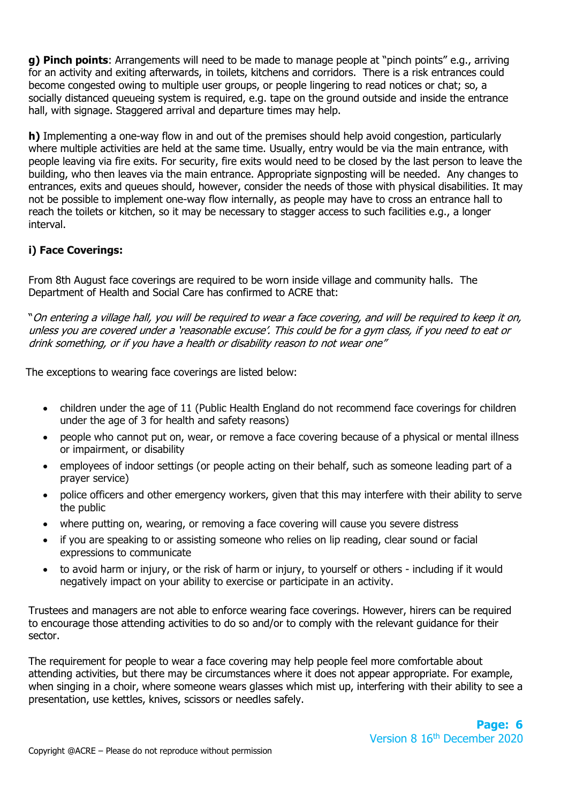**g) Pinch points**: Arrangements will need to be made to manage people at "pinch points" e.g., arriving for an activity and exiting afterwards, in toilets, kitchens and corridors. There is a risk entrances could become congested owing to multiple user groups, or people lingering to read notices or chat; so, a socially distanced queueing system is required, e.g. tape on the ground outside and inside the entrance hall, with signage. Staggered arrival and departure times may help.

**h)** Implementing a one-way flow in and out of the premises should help avoid congestion, particularly where multiple activities are held at the same time. Usually, entry would be via the main entrance, with people leaving via fire exits. For security, fire exits would need to be closed by the last person to leave the building, who then leaves via the main entrance. Appropriate signposting will be needed. Any changes to entrances, exits and queues should, however, consider the needs of those with physical disabilities. It may not be possible to implement one-way flow internally, as people may have to cross an entrance hall to reach the toilets or kitchen, so it may be necessary to stagger access to such facilities e.g., a longer interval.

# **i) Face Coverings:**

From 8th August face coverings are required to be worn inside village and community halls. The Department of Health and Social Care has confirmed to ACRE that:

"On entering a village hall, you will be required to wear a face covering, and will be required to keep it on, unless you are covered under a 'reasonable excuse'. This could be for a gym class, if you need to eat or drink something, or if you have a health or disability reason to not wear one"

The exceptions to wearing face coverings are listed below:

- children under the age of 11 (Public Health England do not recommend face coverings for children under the age of 3 for health and safety reasons)
- people who cannot put on, wear, or remove a face covering because of a physical or mental illness or impairment, or disability
- employees of indoor settings (or people acting on their behalf, such as someone leading part of a prayer service)
- police officers and other emergency workers, given that this may interfere with their ability to serve the public
- where putting on, wearing, or removing a face covering will cause you severe distress
- if you are speaking to or assisting someone who relies on lip reading, clear sound or facial expressions to communicate
- to avoid harm or injury, or the risk of harm or injury, to yourself or others including if it would negatively impact on your ability to exercise or participate in an activity.

Trustees and managers are not able to enforce wearing face coverings. However, hirers can be required to encourage those attending activities to do so and/or to comply with the relevant guidance for their sector.

The requirement for people to wear a face covering may help people feel more comfortable about attending activities, but there may be circumstances where it does not appear appropriate. For example, when singing in a choir, where someone wears glasses which mist up, interfering with their ability to see a presentation, use kettles, knives, scissors or needles safely.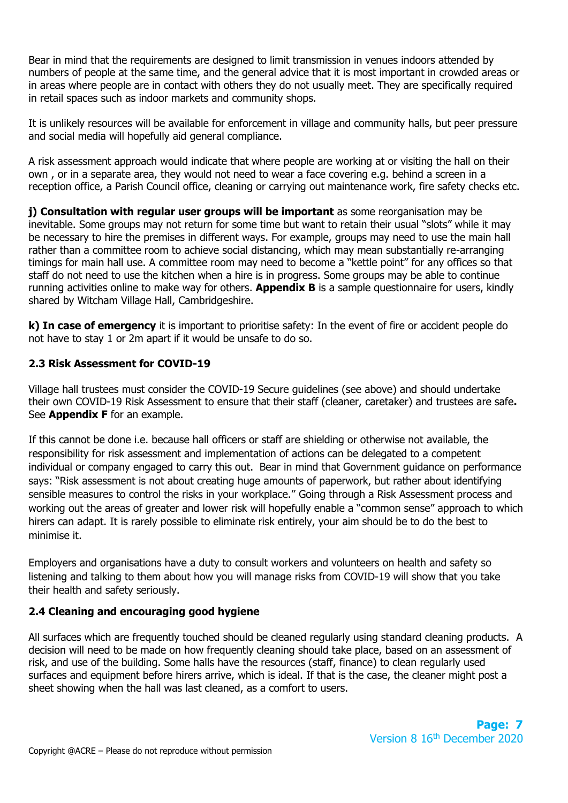Bear in mind that the requirements are designed to limit transmission in venues indoors attended by numbers of people at the same time, and the general advice that it is most important in crowded areas or in areas where people are in contact with others they do not usually meet. They are specifically required in retail spaces such as indoor markets and community shops.

It is unlikely resources will be available for enforcement in village and community halls, but peer pressure and social media will hopefully aid general compliance.

A risk assessment approach would indicate that where people are working at or visiting the hall on their own , or in a separate area, they would not need to wear a face covering e.g. behind a screen in a reception office, a Parish Council office, cleaning or carrying out maintenance work, fire safety checks etc.

**j) Consultation with regular user groups will be important** as some reorganisation may be inevitable. Some groups may not return for some time but want to retain their usual "slots" while it may be necessary to hire the premises in different ways. For example, groups may need to use the main hall rather than a committee room to achieve social distancing, which may mean substantially re-arranging timings for main hall use. A committee room may need to become a "kettle point" for any offices so that staff do not need to use the kitchen when a hire is in progress. Some groups may be able to continue running activities online to make way for others. **Appendix B** is a sample questionnaire for users, kindly shared by Witcham Village Hall, Cambridgeshire.

**k) In case of emergency** it is important to prioritise safety: In the event of fire or accident people do not have to stay 1 or 2m apart if it would be unsafe to do so.

# **2.3 Risk Assessment for COVID-19**

Village hall trustees must consider the COVID-19 Secure guidelines (see above) and should undertake their own COVID-19 Risk Assessment to ensure that their staff (cleaner, caretaker) and trustees are safe**.**  See **Appendix F** for an example.

If this cannot be done i.e. because hall officers or staff are shielding or otherwise not available, the responsibility for risk assessment and implementation of actions can be delegated to a competent individual or company engaged to carry this out. Bear in mind that Government guidance on performance says: "Risk assessment is not about creating huge amounts of paperwork, but rather about identifying sensible measures to control the risks in your workplace." Going through a Risk Assessment process and working out the areas of greater and lower risk will hopefully enable a "common sense" approach to which hirers can adapt. It is rarely possible to eliminate risk entirely, your aim should be to do the best to minimise it.

Employers and organisations have a duty to consult workers and volunteers on health and safety so listening and talking to them about how you will manage risks from COVID-19 will show that you take their health and safety seriously.

# **2.4 Cleaning and encouraging good hygiene**

All surfaces which are frequently touched should be cleaned regularly using standard cleaning products. A decision will need to be made on how frequently cleaning should take place, based on an assessment of risk, and use of the building. Some halls have the resources (staff, finance) to clean regularly used surfaces and equipment before hirers arrive, which is ideal. If that is the case, the cleaner might post a sheet showing when the hall was last cleaned, as a comfort to users.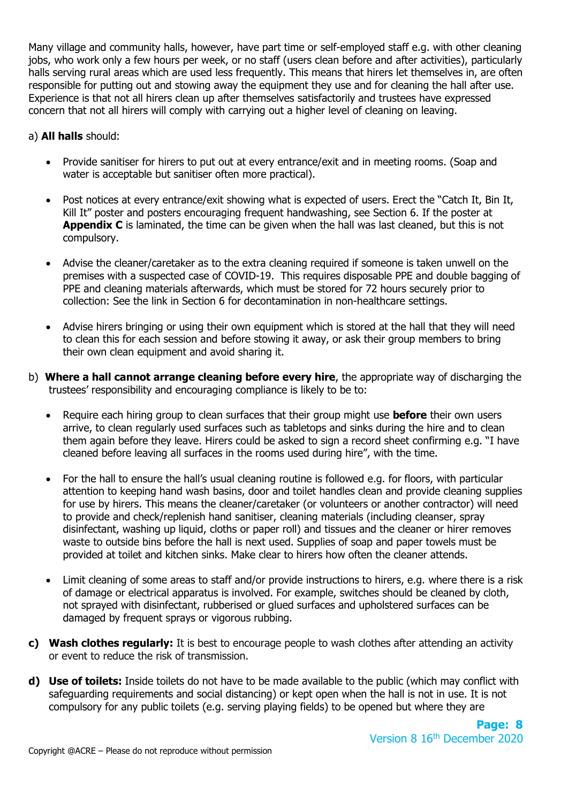Many village and community halls, however, have part time or self-employed staff e.g. with other cleaning jobs, who work only a few hours per week, or no staff (users clean before and after activities), particularly halls serving rural areas which are used less frequently. This means that hirers let themselves in, are often responsible for putting out and stowing away the equipment they use and for cleaning the hall after use. Experience is that not all hirers clean up after themselves satisfactorily and trustees have expressed concern that not all hirers will comply with carrying out a higher level of cleaning on leaving.

a) **All halls** should:

- Provide sanitiser for hirers to put out at every entrance/exit and in meeting rooms. (Soap and water is acceptable but sanitiser often more practical).
- Post notices at every entrance/exit showing what is expected of users. Erect the "Catch It, Bin It, Kill It" poster and posters encouraging frequent handwashing, see Section 6. If the poster at **Appendix C** is laminated, the time can be given when the hall was last cleaned, but this is not compulsory.
- Advise the cleaner/caretaker as to the extra cleaning required if someone is taken unwell on the premises with a suspected case of COVID-19. This requires disposable PPE and double bagging of PPE and cleaning materials afterwards, which must be stored for 72 hours securely prior to collection: See the link in Section 6 for decontamination in non-healthcare settings.
- Advise hirers bringing or using their own equipment which is stored at the hall that they will need to clean this for each session and before stowing it away, or ask their group members to bring their own clean equipment and avoid sharing it.
- b) **Where a hall cannot arrange cleaning before every hire**, the appropriate way of discharging the trustees' responsibility and encouraging compliance is likely to be to:
	- Require each hiring group to clean surfaces that their group might use **before** their own users arrive, to clean regularly used surfaces such as tabletops and sinks during the hire and to clean them again before they leave. Hirers could be asked to sign a record sheet confirming e.g. "I have cleaned before leaving all surfaces in the rooms used during hire", with the time.
	- For the hall to ensure the hall's usual cleaning routine is followed e.g. for floors, with particular attention to keeping hand wash basins, door and toilet handles clean and provide cleaning supplies for use by hirers. This means the cleaner/caretaker (or volunteers or another contractor) will need to provide and check/replenish hand sanitiser, cleaning materials (including cleanser, spray disinfectant, washing up liquid, cloths or paper roll) and tissues and the cleaner or hirer removes waste to outside bins before the hall is next used. Supplies of soap and paper towels must be provided at toilet and kitchen sinks. Make clear to hirers how often the cleaner attends.
	- Limit cleaning of some areas to staff and/or provide instructions to hirers, e.g. where there is a risk of damage or electrical apparatus is involved. For example, switches should be cleaned by cloth, not sprayed with disinfectant, rubberised or glued surfaces and upholstered surfaces can be damaged by frequent sprays or vigorous rubbing.
- **c) Wash clothes regularly:** It is best to encourage people to wash clothes after attending an activity or event to reduce the risk of transmission.
- **d) Use of toilets:** Inside toilets do not have to be made available to the public (which may conflict with safeguarding requirements and social distancing) or kept open when the hall is not in use. It is not compulsory for any public toilets (e.g. serving playing fields) to be opened but where they are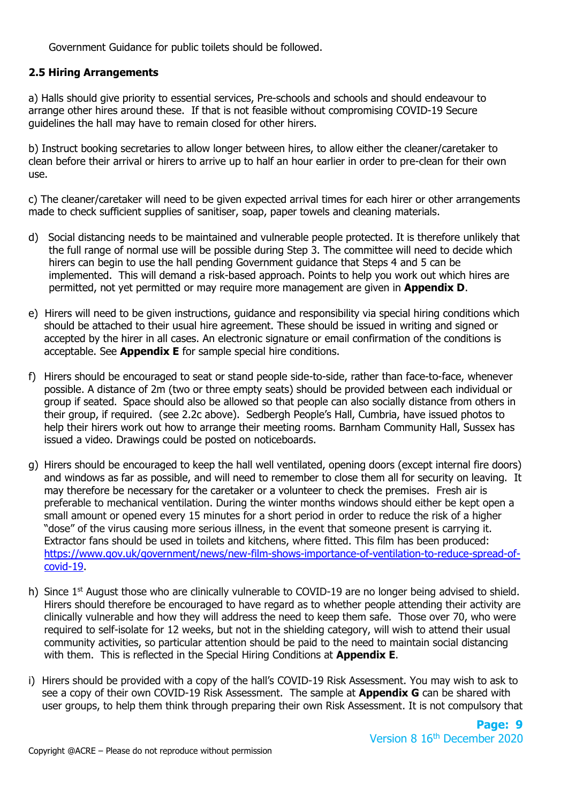Government Guidance for public toilets should be followed.

#### **2.5 Hiring Arrangements**

a) Halls should give priority to essential services, Pre-schools and schools and should endeavour to arrange other hires around these. If that is not feasible without compromising COVID-19 Secure guidelines the hall may have to remain closed for other hirers.

b) Instruct booking secretaries to allow longer between hires, to allow either the cleaner/caretaker to clean before their arrival or hirers to arrive up to half an hour earlier in order to pre-clean for their own use.

c) The cleaner/caretaker will need to be given expected arrival times for each hirer or other arrangements made to check sufficient supplies of sanitiser, soap, paper towels and cleaning materials.

- d) Social distancing needs to be maintained and vulnerable people protected. It is therefore unlikely that the full range of normal use will be possible during Step 3. The committee will need to decide which hirers can begin to use the hall pending Government guidance that Steps 4 and 5 can be implemented. This will demand a risk-based approach. Points to help you work out which hires are permitted, not yet permitted or may require more management are given in **Appendix D**.
- e) Hirers will need to be given instructions, guidance and responsibility via special hiring conditions which should be attached to their usual hire agreement. These should be issued in writing and signed or accepted by the hirer in all cases. An electronic signature or email confirmation of the conditions is acceptable. See **Appendix E** for sample special hire conditions.
- f) Hirers should be encouraged to seat or stand people side-to-side, rather than face-to-face, whenever possible. A distance of 2m (two or three empty seats) should be provided between each individual or group if seated. Space should also be allowed so that people can also socially distance from others in their group, if required. (see 2.2c above). Sedbergh People's Hall, Cumbria, have issued photos to help their hirers work out how to arrange their meeting rooms. Barnham Community Hall, Sussex has issued a video. Drawings could be posted on noticeboards.
- g) Hirers should be encouraged to keep the hall well ventilated, opening doors (except internal fire doors) and windows as far as possible, and will need to remember to close them all for security on leaving. It may therefore be necessary for the caretaker or a volunteer to check the premises. Fresh air is preferable to mechanical ventilation. During the winter months windows should either be kept open a small amount or opened every 15 minutes for a short period in order to reduce the risk of a higher "dose" of the virus causing more serious illness, in the event that someone present is carrying it. Extractor fans should be used in toilets and kitchens, where fitted. This film has been produced: [https://www.gov.uk/government/news/new-film-shows-importance-of-ventilation-to-reduce-spread-of](https://www.gov.uk/government/news/new-film-shows-importance-of-ventilation-to-reduce-spread-of-covid-19)[covid-19.](https://www.gov.uk/government/news/new-film-shows-importance-of-ventilation-to-reduce-spread-of-covid-19)
- h) Since  $1<sup>st</sup>$  August those who are clinically vulnerable to COVID-19 are no longer being advised to shield. Hirers should therefore be encouraged to have regard as to whether people attending their activity are clinically vulnerable and how they will address the need to keep them safe. Those over 70, who were required to self-isolate for 12 weeks, but not in the shielding category, will wish to attend their usual community activities, so particular attention should be paid to the need to maintain social distancing with them. This is reflected in the Special Hiring Conditions at **Appendix E**.
- i) Hirers should be provided with a copy of the hall's COVID-19 Risk Assessment. You may wish to ask to see a copy of their own COVID-19 Risk Assessment. The sample at **Appendix G** can be shared with user groups, to help them think through preparing their own Risk Assessment. It is not compulsory that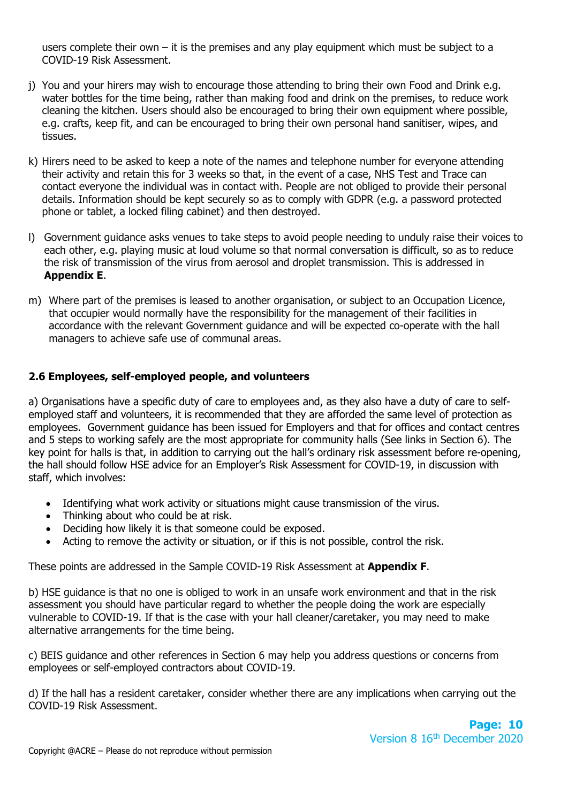users complete their own  $-$  it is the premises and any play equipment which must be subject to a COVID-19 Risk Assessment.

- j) You and your hirers may wish to encourage those attending to bring their own Food and Drink e.g. water bottles for the time being, rather than making food and drink on the premises, to reduce work cleaning the kitchen. Users should also be encouraged to bring their own equipment where possible, e.g. crafts, keep fit, and can be encouraged to bring their own personal hand sanitiser, wipes, and tissues.
- k) Hirers need to be asked to keep a note of the names and telephone number for everyone attending their activity and retain this for 3 weeks so that, in the event of a case, NHS Test and Trace can contact everyone the individual was in contact with. People are not obliged to provide their personal details. Information should be kept securely so as to comply with GDPR (e.g. a password protected phone or tablet, a locked filing cabinet) and then destroyed.
- l) Government guidance asks venues to take steps to avoid people needing to unduly raise their voices to each other, e.g. playing music at loud volume so that normal conversation is difficult, so as to reduce the risk of transmission of the virus from aerosol and droplet transmission. This is addressed in **Appendix E**.
- m) Where part of the premises is leased to another organisation, or subject to an Occupation Licence, that occupier would normally have the responsibility for the management of their facilities in accordance with the relevant Government guidance and will be expected co-operate with the hall managers to achieve safe use of communal areas.

# **2.6 Employees, self-employed people, and volunteers**

a) Organisations have a specific duty of care to employees and, as they also have a duty of care to selfemployed staff and volunteers, it is recommended that they are afforded the same level of protection as employees. Government guidance has been issued for Employers and that for offices and contact centres and 5 steps to working safely are the most appropriate for community halls (See links in Section 6). The key point for halls is that, in addition to carrying out the hall's ordinary risk assessment before re-opening, the hall should follow HSE advice for an Employer's Risk Assessment for COVID-19, in discussion with staff, which involves:

- Identifying what work activity or situations might cause transmission of the virus.
- Thinking about who could be at risk.
- Deciding how likely it is that someone could be exposed.
- Acting to remove the activity or situation, or if this is not possible, control the risk.

These points are addressed in the Sample COVID-19 Risk Assessment at **Appendix F**.

b) HSE guidance is that no one is obliged to work in an unsafe work environment and that in the risk assessment you should have particular regard to whether the people doing the work are especially vulnerable to COVID-19. If that is the case with your hall cleaner/caretaker, you may need to make alternative arrangements for the time being.

c) BEIS guidance and other references in Section 6 may help you address questions or concerns from employees or self-employed contractors about COVID-19.

d) If the hall has a resident caretaker, consider whether there are any implications when carrying out the COVID-19 Risk Assessment.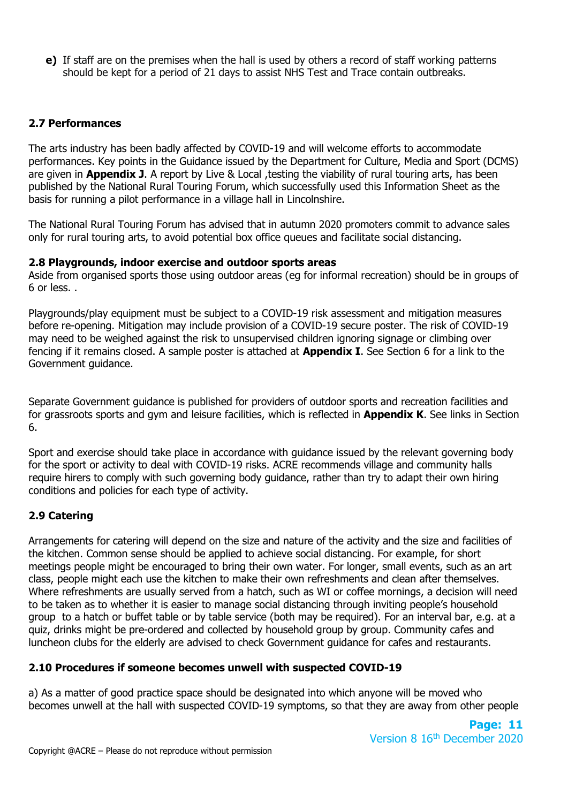**e)** If staff are on the premises when the hall is used by others a record of staff working patterns should be kept for a period of 21 days to assist NHS Test and Trace contain outbreaks.

# **2.7 Performances**

The arts industry has been badly affected by COVID-19 and will welcome efforts to accommodate performances. Key points in the Guidance issued by the Department for Culture, Media and Sport (DCMS) are given in **Appendix J**. A report by Live & Local ,testing the viability of rural touring arts, has been published by the National Rural Touring Forum, which successfully used this Information Sheet as the basis for running a pilot performance in a village hall in Lincolnshire.

The National Rural Touring Forum has advised that in autumn 2020 promoters commit to advance sales only for rural touring arts, to avoid potential box office queues and facilitate social distancing.

#### **2.8 Playgrounds, indoor exercise and outdoor sports areas**

Aside from organised sports those using outdoor areas (eg for informal recreation) should be in groups of 6 or less. .

Playgrounds/play equipment must be subject to a COVID-19 risk assessment and mitigation measures before re-opening. Mitigation may include provision of a COVID-19 secure poster. The risk of COVID-19 may need to be weighed against the risk to unsupervised children ignoring signage or climbing over fencing if it remains closed. A sample poster is attached at **Appendix I**. See Section 6 for a link to the Government guidance.

Separate Government guidance is published for providers of outdoor sports and recreation facilities and for grassroots sports and gym and leisure facilities, which is reflected in **Appendix K**. See links in Section 6.

Sport and exercise should take place in accordance with guidance issued by the relevant governing body for the sport or activity to deal with COVID-19 risks. ACRE recommends village and community halls require hirers to comply with such governing body guidance, rather than try to adapt their own hiring conditions and policies for each type of activity.

## **2.9 Catering**

Arrangements for catering will depend on the size and nature of the activity and the size and facilities of the kitchen. Common sense should be applied to achieve social distancing. For example, for short meetings people might be encouraged to bring their own water. For longer, small events, such as an art class, people might each use the kitchen to make their own refreshments and clean after themselves. Where refreshments are usually served from a hatch, such as WI or coffee mornings, a decision will need to be taken as to whether it is easier to manage social distancing through inviting people's household group to a hatch or buffet table or by table service (both may be required). For an interval bar, e.g. at a quiz, drinks might be pre-ordered and collected by household group by group. Community cafes and luncheon clubs for the elderly are advised to check Government guidance for cafes and restaurants.

## **2.10 Procedures if someone becomes unwell with suspected COVID-19**

a) As a matter of good practice space should be designated into which anyone will be moved who becomes unwell at the hall with suspected COVID-19 symptoms, so that they are away from other people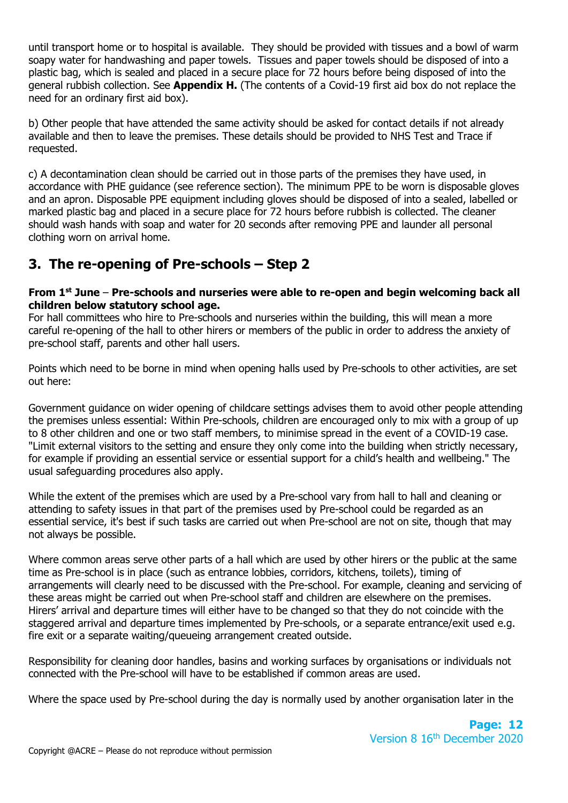until transport home or to hospital is available. They should be provided with tissues and a bowl of warm soapy water for handwashing and paper towels. Tissues and paper towels should be disposed of into a plastic bag, which is sealed and placed in a secure place for 72 hours before being disposed of into the general rubbish collection. See **Appendix H.** (The contents of a Covid-19 first aid box do not replace the need for an ordinary first aid box).

b) Other people that have attended the same activity should be asked for contact details if not already available and then to leave the premises. These details should be provided to NHS Test and Trace if requested.

c) A decontamination clean should be carried out in those parts of the premises they have used, in accordance with PHE guidance (see reference section). The minimum PPE to be worn is disposable gloves and an apron. Disposable PPE equipment including gloves should be disposed of into a sealed, labelled or marked plastic bag and placed in a secure place for 72 hours before rubbish is collected. The cleaner should wash hands with soap and water for 20 seconds after removing PPE and launder all personal clothing worn on arrival home.

# **3. The re-opening of Pre-schools – Step 2**

#### **From 1st June** – **Pre-schools and nurseries were able to re-open and begin welcoming back all children below statutory school age.**

For hall committees who hire to Pre-schools and nurseries within the building, this will mean a more careful re-opening of the hall to other hirers or members of the public in order to address the anxiety of pre-school staff, parents and other hall users.

Points which need to be borne in mind when opening halls used by Pre-schools to other activities, are set out here:

Government guidance on wider opening of childcare settings advises them to avoid other people attending the premises unless essential: Within Pre-schools, children are encouraged only to mix with a group of up to 8 other children and one or two staff members, to minimise spread in the event of a COVID-19 case. "Limit external visitors to the setting and ensure they only come into the building when strictly necessary, for example if providing an essential service or essential support for a child's health and wellbeing." The usual safeguarding procedures also apply.

While the extent of the premises which are used by a Pre-school vary from hall to hall and cleaning or attending to safety issues in that part of the premises used by Pre-school could be regarded as an essential service, it's best if such tasks are carried out when Pre-school are not on site, though that may not always be possible.

Where common areas serve other parts of a hall which are used by other hirers or the public at the same time as Pre-school is in place (such as entrance lobbies, corridors, kitchens, toilets), timing of arrangements will clearly need to be discussed with the Pre-school. For example, cleaning and servicing of these areas might be carried out when Pre-school staff and children are elsewhere on the premises. Hirers' arrival and departure times will either have to be changed so that they do not coincide with the staggered arrival and departure times implemented by Pre-schools, or a separate entrance/exit used e.g. fire exit or a separate waiting/queueing arrangement created outside.

Responsibility for cleaning door handles, basins and working surfaces by organisations or individuals not connected with the Pre-school will have to be established if common areas are used.

Where the space used by Pre-school during the day is normally used by another organisation later in the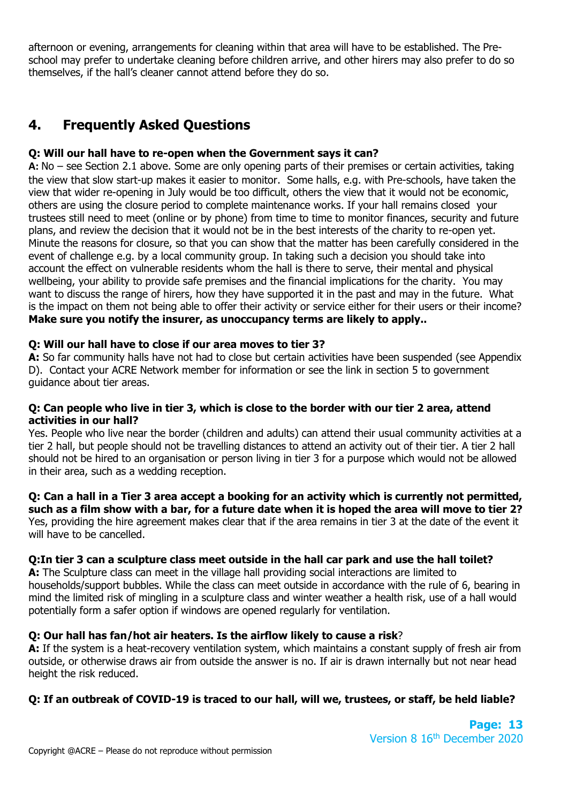afternoon or evening, arrangements for cleaning within that area will have to be established. The Preschool may prefer to undertake cleaning before children arrive, and other hirers may also prefer to do so themselves, if the hall's cleaner cannot attend before they do so.

# **4. Frequently Asked Questions**

## **Q: Will our hall have to re-open when the Government says it can?**

**A:** No – see Section 2.1 above. Some are only opening parts of their premises or certain activities, taking the view that slow start-up makes it easier to monitor. Some halls, e.g. with Pre-schools, have taken the view that wider re-opening in July would be too difficult, others the view that it would not be economic, others are using the closure period to complete maintenance works. If your hall remains closed your trustees still need to meet (online or by phone) from time to time to monitor finances, security and future plans, and review the decision that it would not be in the best interests of the charity to re-open yet. Minute the reasons for closure, so that you can show that the matter has been carefully considered in the event of challenge e.g. by a local community group. In taking such a decision you should take into account the effect on vulnerable residents whom the hall is there to serve, their mental and physical wellbeing, your ability to provide safe premises and the financial implications for the charity. You may want to discuss the range of hirers, how they have supported it in the past and may in the future. What is the impact on them not being able to offer their activity or service either for their users or their income? **Make sure you notify the insurer, as unoccupancy terms are likely to apply..**

# **Q: Will our hall have to close if our area moves to tier 3?**

A: So far community halls have not had to close but certain activities have been suspended (see Appendix D). Contact your ACRE Network member for information or see the link in section 5 to government guidance about tier areas.

#### **Q: Can people who live in tier 3, which is close to the border with our tier 2 area, attend activities in our hall?**

Yes. People who live near the border (children and adults) can attend their usual community activities at a tier 2 hall, but people should not be travelling distances to attend an activity out of their tier. A tier 2 hall should not be hired to an organisation or person living in tier 3 for a purpose which would not be allowed in their area, such as a wedding reception.

#### **Q: Can a hall in a Tier 3 area accept a booking for an activity which is currently not permitted, such as a film show with a bar, for a future date when it is hoped the area will move to tier 2?**

Yes, providing the hire agreement makes clear that if the area remains in tier 3 at the date of the event it will have to be cancelled.

## **Q:In tier 3 can a sculpture class meet outside in the hall car park and use the hall toilet?**

**A:** The Sculpture class can meet in the village hall providing social interactions are limited to households/support bubbles. While the class can meet outside in accordance with the rule of 6, bearing in mind the limited risk of mingling in a sculpture class and winter weather a health risk, use of a hall would potentially form a safer option if windows are opened regularly for ventilation.

## **Q: Our hall has fan/hot air heaters. Is the airflow likely to cause a risk**?

**A:** If the system is a heat-recovery ventilation system, which maintains a constant supply of fresh air from outside, or otherwise draws air from outside the answer is no. If air is drawn internally but not near head height the risk reduced.

# **Q: If an outbreak of COVID-19 is traced to our hall, will we, trustees, or staff, be held liable?**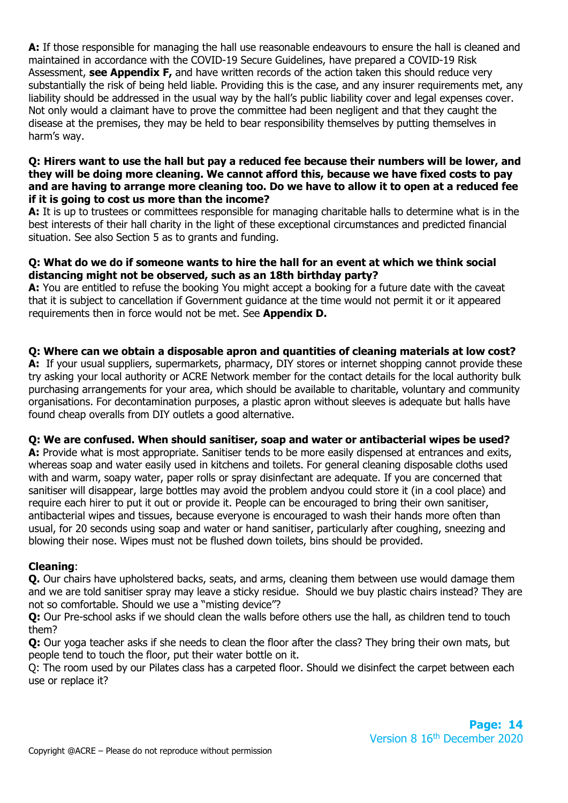**A:** If those responsible for managing the hall use reasonable endeavours to ensure the hall is cleaned and maintained in accordance with the COVID-19 Secure Guidelines, have prepared a COVID-19 Risk Assessment, **see Appendix F,** and have written records of the action taken this should reduce very substantially the risk of being held liable. Providing this is the case, and any insurer requirements met, any liability should be addressed in the usual way by the hall's public liability cover and legal expenses cover. Not only would a claimant have to prove the committee had been negligent and that they caught the disease at the premises, they may be held to bear responsibility themselves by putting themselves in harm's way.

#### **Q: Hirers want to use the hall but pay a reduced fee because their numbers will be lower, and they will be doing more cleaning. We cannot afford this, because we have fixed costs to pay and are having to arrange more cleaning too. Do we have to allow it to open at a reduced fee if it is going to cost us more than the income?**

**A:** It is up to trustees or committees responsible for managing charitable halls to determine what is in the best interests of their hall charity in the light of these exceptional circumstances and predicted financial situation. See also Section 5 as to grants and funding.

## **Q: What do we do if someone wants to hire the hall for an event at which we think social distancing might not be observed, such as an 18th birthday party?**

**A:** You are entitled to refuse the booking You might accept a booking for a future date with the caveat that it is subject to cancellation if Government guidance at the time would not permit it or it appeared requirements then in force would not be met. See **Appendix D.**

## **Q: Where can we obtain a disposable apron and quantities of cleaning materials at low cost?**

A: If your usual suppliers, supermarkets, pharmacy, DIY stores or internet shopping cannot provide these try asking your local authority or ACRE Network member for the contact details for the local authority bulk purchasing arrangements for your area, which should be available to charitable, voluntary and community organisations. For decontamination purposes, a plastic apron without sleeves is adequate but halls have found cheap overalls from DIY outlets a good alternative.

## **Q: We are confused. When should sanitiser, soap and water or antibacterial wipes be used?**

**A:** Provide what is most appropriate. Sanitiser tends to be more easily dispensed at entrances and exits, whereas soap and water easily used in kitchens and toilets. For general cleaning disposable cloths used with and warm, soapy water, paper rolls or spray disinfectant are adequate. If you are concerned that sanitiser will disappear, large bottles may avoid the problem andyou could store it (in a cool place) and require each hirer to put it out or provide it. People can be encouraged to bring their own sanitiser, antibacterial wipes and tissues, because everyone is encouraged to wash their hands more often than usual, for 20 seconds using soap and water or hand sanitiser, particularly after coughing, sneezing and blowing their nose. Wipes must not be flushed down toilets, bins should be provided.

## **Cleaning**:

**Q.** Our chairs have upholstered backs, seats, and arms, cleaning them between use would damage them and we are told sanitiser spray may leave a sticky residue. Should we buy plastic chairs instead? They are not so comfortable. Should we use a "misting device"?

**Q:** Our Pre-school asks if we should clean the walls before others use the hall, as children tend to touch them?

**Q:** Our yoga teacher asks if she needs to clean the floor after the class? They bring their own mats, but people tend to touch the floor, put their water bottle on it.

Q: The room used by our Pilates class has a carpeted floor. Should we disinfect the carpet between each use or replace it?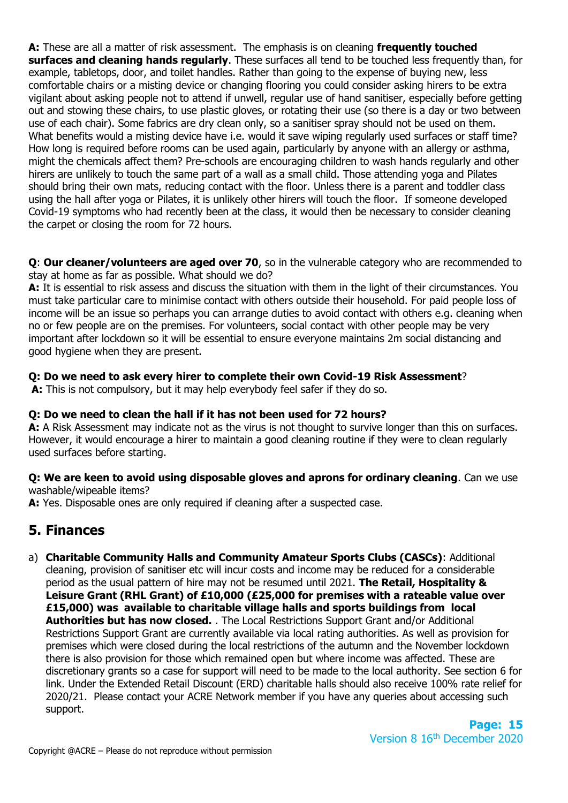**A:** These are all a matter of risk assessment. The emphasis is on cleaning **frequently touched surfaces and cleaning hands regularly**. These surfaces all tend to be touched less frequently than, for example, tabletops, door, and toilet handles. Rather than going to the expense of buying new, less comfortable chairs or a misting device or changing flooring you could consider asking hirers to be extra vigilant about asking people not to attend if unwell, regular use of hand sanitiser, especially before getting out and stowing these chairs, to use plastic gloves, or rotating their use (so there is a day or two between use of each chair). Some fabrics are dry clean only, so a sanitiser spray should not be used on them. What benefits would a misting device have i.e. would it save wiping regularly used surfaces or staff time? How long is required before rooms can be used again, particularly by anyone with an allergy or asthma, might the chemicals affect them? Pre-schools are encouraging children to wash hands regularly and other hirers are unlikely to touch the same part of a wall as a small child. Those attending yoga and Pilates should bring their own mats, reducing contact with the floor. Unless there is a parent and toddler class using the hall after yoga or Pilates, it is unlikely other hirers will touch the floor. If someone developed Covid-19 symptoms who had recently been at the class, it would then be necessary to consider cleaning the carpet or closing the room for 72 hours.

**Q**: **Our cleaner/volunteers are aged over 70**, so in the vulnerable category who are recommended to stay at home as far as possible. What should we do?

**A:** It is essential to risk assess and discuss the situation with them in the light of their circumstances. You must take particular care to minimise contact with others outside their household. For paid people loss of income will be an issue so perhaps you can arrange duties to avoid contact with others e.g. cleaning when no or few people are on the premises. For volunteers, social contact with other people may be very important after lockdown so it will be essential to ensure everyone maintains 2m social distancing and good hygiene when they are present.

# **Q: Do we need to ask every hirer to complete their own Covid-19 Risk Assessment**?

**A:** This is not compulsory, but it may help everybody feel safer if they do so.

## **Q: Do we need to clean the hall if it has not been used for 72 hours?**

**A:** A Risk Assessment may indicate not as the virus is not thought to survive longer than this on surfaces. However, it would encourage a hirer to maintain a good cleaning routine if they were to clean regularly used surfaces before starting.

## **Q: We are keen to avoid using disposable gloves and aprons for ordinary cleaning**. Can we use washable/wipeable items?

**A:** Yes. Disposable ones are only required if cleaning after a suspected case.

# **5. Finances**

a) **Charitable Community Halls and Community Amateur Sports Clubs (CASCs)**: Additional cleaning, provision of sanitiser etc will incur costs and income may be reduced for a considerable period as the usual pattern of hire may not be resumed until 2021. **The Retail, Hospitality & Leisure Grant (RHL Grant) of £10,000 (£25,000 for premises with a rateable value over £15,000) was available to charitable village halls and sports buildings from local Authorities but has now closed.** . The Local Restrictions Support Grant and/or Additional Restrictions Support Grant are currently available via local rating authorities. As well as provision for premises which were closed during the local restrictions of the autumn and the November lockdown there is also provision for those which remained open but where income was affected. These are discretionary grants so a case for support will need to be made to the local authority. See section 6 for link. Under the Extended Retail Discount (ERD) charitable halls should also receive 100% rate relief for 2020/21. Please contact your ACRE Network member if you have any queries about accessing such support.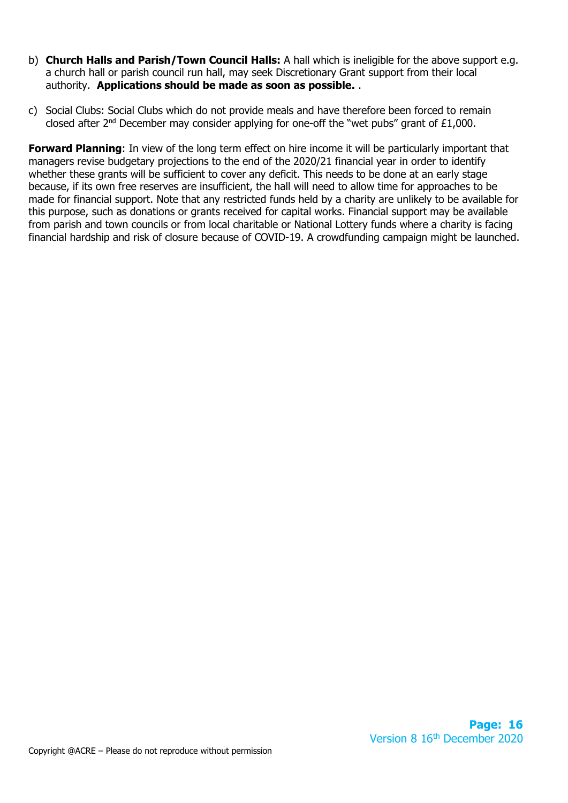- b) **Church Halls and Parish/Town Council Halls:** A hall which is ineligible for the above support e.g. a church hall or parish council run hall, may seek Discretionary Grant support from their local authority. **Applications should be made as soon as possible.** .
- c) Social Clubs: Social Clubs which do not provide meals and have therefore been forced to remain closed after  $2^{nd}$  December may consider applying for one-off the "wet pubs" grant of £1,000.

**Forward Planning**: In view of the long term effect on hire income it will be particularly important that managers revise budgetary projections to the end of the 2020/21 financial year in order to identify whether these grants will be sufficient to cover any deficit. This needs to be done at an early stage because, if its own free reserves are insufficient, the hall will need to allow time for approaches to be made for financial support. Note that any restricted funds held by a charity are unlikely to be available for this purpose, such as donations or grants received for capital works. Financial support may be available from parish and town councils or from local charitable or National Lottery funds where a charity is facing financial hardship and risk of closure because of COVID-19. A crowdfunding campaign might be launched.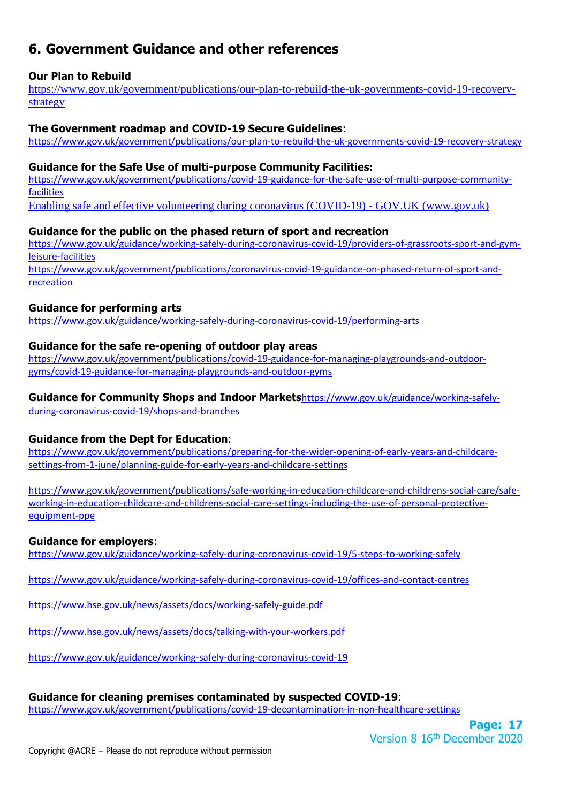# **6. Government Guidance and other references**

## **Our Plan to Rebuild**

[https://www.gov.uk/government/publications/our-plan-to-rebuild-the-uk-governments-covid-19-recovery](https://www.gov.uk/government/publications/our-plan-to-rebuild-the-uk-governments-covid-19-recovery-strategy)[strategy](https://www.gov.uk/government/publications/our-plan-to-rebuild-the-uk-governments-covid-19-recovery-strategy)

#### **The Government roadmap and COVID-19 Secure Guidelines**:

<https://www.gov.uk/government/publications/our-plan-to-rebuild-the-uk-governments-covid-19-recovery-strategy>

#### **Guidance for the Safe Use of multi-purpose Community Facilities:**

[https://www.gov.uk/government/publications/covid-19-guidance-for-the-safe-use-of-multi-purpose-community](https://www.gov.uk/government/publications/covid-19-guidance-for-the-safe-use-of-multi-purpose-community-facilities)[facilities](https://www.gov.uk/government/publications/covid-19-guidance-for-the-safe-use-of-multi-purpose-community-facilities)

[Enabling safe and effective volunteering during coronavirus \(COVID-19\) -](https://www.gov.uk/guidance/enabling-safe-and-effective-volunteering-during-coronavirus-covid-19) GOV.UK (www.gov.uk)

#### **Guidance for the public on the phased return of sport and recreation**

[https://www.gov.uk/guidance/working-safely-during-coronavirus-covid-19/providers-of-grassroots-sport-and-gym](https://www.gov.uk/guidance/working-safely-during-coronavirus-covid-19/providers-of-grassroots-sport-and-gym-leisure-facilities)[leisure-facilities](https://www.gov.uk/guidance/working-safely-during-coronavirus-covid-19/providers-of-grassroots-sport-and-gym-leisure-facilities)

[https://www.gov.uk/government/publications/coronavirus-covid-19-guidance-on-phased-return-of-sport-and](https://www.gov.uk/government/publications/coronavirus-covid-19-guidance-on-phased-return-of-sport-and-recreation)[recreation](https://www.gov.uk/government/publications/coronavirus-covid-19-guidance-on-phased-return-of-sport-and-recreation)

## **Guidance for performing arts**

<https://www.gov.uk/guidance/working-safely-during-coronavirus-covid-19/performing-arts>

## **Guidance for the safe re-opening of outdoor play areas**

[https://www.gov.uk/government/publications/covid-19-guidance-for-managing-playgrounds-and-outdoor](https://www.gov.uk/government/publications/covid-19-guidance-for-managing-playgrounds-and-outdoor-gyms/covid-19-guidance-for-managing-playgrounds-and-outdoor-gyms)[gyms/covid-19-guidance-for-managing-playgrounds-and-outdoor-gyms](https://www.gov.uk/government/publications/covid-19-guidance-for-managing-playgrounds-and-outdoor-gyms/covid-19-guidance-for-managing-playgrounds-and-outdoor-gyms)

#### **Guidance for Community Shops and Indoor Markets**[https://www.gov.uk/guidance/working-safely-](https://www.gov.uk/guidance/working-safely-during-coronavirus-covid-19/shops-and-branches)

[during-coronavirus-covid-19/shops-and-branches](https://www.gov.uk/guidance/working-safely-during-coronavirus-covid-19/shops-and-branches)

## **Guidance from the Dept for Education**:

[https://www.gov.uk/government/publications/preparing-for-the-wider-opening-of-early-years-and-childcare](https://www.gov.uk/government/publications/preparing-for-the-wider-opening-of-early-years-and-childcare-settings-from-1-june/planning-guide-for-early-years-and-childcare-settings)[settings-from-1-june/planning-guide-for-early-years-and-childcare-settings](https://www.gov.uk/government/publications/preparing-for-the-wider-opening-of-early-years-and-childcare-settings-from-1-june/planning-guide-for-early-years-and-childcare-settings)

[https://www.gov.uk/government/publications/safe-working-in-education-childcare-and-childrens-social-care/safe](https://www.gov.uk/government/publications/safe-working-in-education-childcare-and-childrens-social-care/safe-working-in-education-childcare-and-childrens-social-care-settings-including-the-use-of-personal-protective-equipment-ppe)[working-in-education-childcare-and-childrens-social-care-settings-including-the-use-of-personal-protective](https://www.gov.uk/government/publications/safe-working-in-education-childcare-and-childrens-social-care/safe-working-in-education-childcare-and-childrens-social-care-settings-including-the-use-of-personal-protective-equipment-ppe)[equipment-ppe](https://www.gov.uk/government/publications/safe-working-in-education-childcare-and-childrens-social-care/safe-working-in-education-childcare-and-childrens-social-care-settings-including-the-use-of-personal-protective-equipment-ppe)

## **Guidance for employers**:

<https://www.gov.uk/guidance/working-safely-during-coronavirus-covid-19/5-steps-to-working-safely>

[https://www.gov.uk/guidance/working-safely-during-coronavirus-covid-19/offices-and-contact-centres](https://gbr01.safelinks.protection.outlook.com/?url=https%3A%2F%2Fwww.gov.uk%2Fguidance%2Fworking-safely-during-coronavirus-covid-19%2Foffices-and-contact-centres&data=02%7C01%7Cjo.ellingham%40communities.gov.uk%7C9c51df4ea37542fc821108d7fe7764c9%7Cbf3468109c7d43dea87224a2ef3995a8%7C0%7C0%7C637257661049424057&sdata=iPKwyLEEHwFIPKF5NQd07WZd%2BGWR0EjNSXGfBt2JO9s%3D&reserved=0)

<https://www.hse.gov.uk/news/assets/docs/working-safely-guide.pdf>

<https://www.hse.gov.uk/news/assets/docs/talking-with-your-workers.pdf>

<https://www.gov.uk/guidance/working-safely-during-coronavirus-covid-19>

## **Guidance for cleaning premises contaminated by suspected COVID-19**:

<https://www.gov.uk/government/publications/covid-19-decontamination-in-non-healthcare-settings>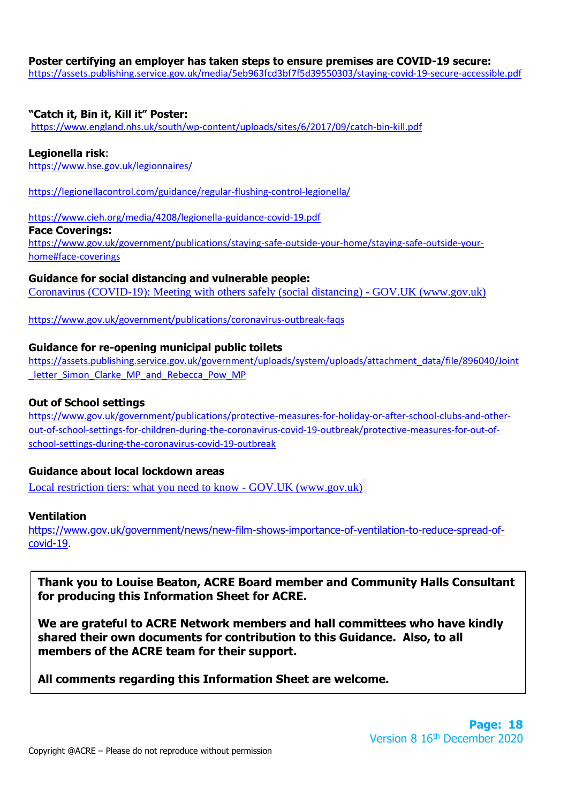#### **Poster certifying an employer has taken steps to ensure premises are COVID-19 secure:**

<https://assets.publishing.service.gov.uk/media/5eb963fcd3bf7f5d39550303/staying-covid-19-secure-accessible.pdf>

#### **"Catch it, Bin it, Kill it" Poster:**

<https://www.england.nhs.uk/south/wp-content/uploads/sites/6/2017/09/catch-bin-kill.pdf>

#### **Legionella risk**:

<https://www.hse.gov.uk/legionnaires/>

<https://legionellacontrol.com/guidance/regular-flushing-control-legionella/>

#### <https://www.cieh.org/media/4208/legionella-guidance-covid-19.pdf>

**Face Coverings:**

[https://www.gov.uk/government/publications/staying-safe-outside-your-home/staying-safe-outside-your](https://www.gov.uk/government/publications/staying-safe-outside-your-home/staying-safe-outside-your-home#face-coverings)[home#face-coverings](https://www.gov.uk/government/publications/staying-safe-outside-your-home/staying-safe-outside-your-home#face-coverings)

#### **Guidance for social distancing and vulnerable people:**

[Coronavirus \(COVID-19\): Meeting with others safely \(social distancing\) -](https://www.gov.uk/government/publications/coronavirus-covid-19-meeting-with-others-safely-social-distancing/coronavirus-covid-19-meeting-with-others-safely-social-distancing) GOV.UK (www.gov.uk)

<https://www.gov.uk/government/publications/coronavirus-outbreak-faqs>

#### **Guidance for re-opening municipal public toilets**

[https://assets.publishing.service.gov.uk/government/uploads/system/uploads/attachment\\_data/file/896040/Joint](https://assets.publishing.service.gov.uk/government/uploads/system/uploads/attachment_data/file/896040/Joint_letter_Simon_Clarke_MP_and_Rebecca_Pow_MP) letter Simon Clarke MP and Rebecca Pow MP

#### **Out of School settings**

[https://www.gov.uk/government/publications/protective-measures-for-holiday-or-after-school-clubs-and-other](https://www.gov.uk/government/publications/protective-measures-for-holiday-or-after-school-clubs-and-other-out-of-school-settings-for-children-during-the-coronavirus-covid-19-outbreak/protective-measures-for-out-of-school-settings-during-the-coronavirus-covid-19-outbreak)[out-of-school-settings-for-children-during-the-coronavirus-covid-19-outbreak/protective-measures-for-out-of](https://www.gov.uk/government/publications/protective-measures-for-holiday-or-after-school-clubs-and-other-out-of-school-settings-for-children-during-the-coronavirus-covid-19-outbreak/protective-measures-for-out-of-school-settings-during-the-coronavirus-covid-19-outbreak)[school-settings-during-the-coronavirus-covid-19-outbreak](https://www.gov.uk/government/publications/protective-measures-for-holiday-or-after-school-clubs-and-other-out-of-school-settings-for-children-during-the-coronavirus-covid-19-outbreak/protective-measures-for-out-of-school-settings-during-the-coronavirus-covid-19-outbreak)

#### **Guidance about local lockdown areas**

[Local restriction tiers: what you need to know -](https://www.gov.uk/guidance/local-restriction-tiers-what-you-need-to-know) GOV.UK (www.gov.uk)

#### **Ventilation**

[https://www.gov.uk/government/news/new-film-shows-importance-of-ventilation-to-reduce-spread-of](https://www.gov.uk/government/news/new-film-shows-importance-of-ventilation-to-reduce-spread-of-covid-19)[covid-19.](https://www.gov.uk/government/news/new-film-shows-importance-of-ventilation-to-reduce-spread-of-covid-19)

**Thank you to Louise Beaton, ACRE Board member and Community Halls Consultant for producing this Information Sheet for ACRE.**

**We are grateful to ACRE Network members and hall committees who have kindly shared their own documents for contribution to this Guidance. Also, to all members of the ACRE team for their support.**

**All comments regarding this Information Sheet are welcome.**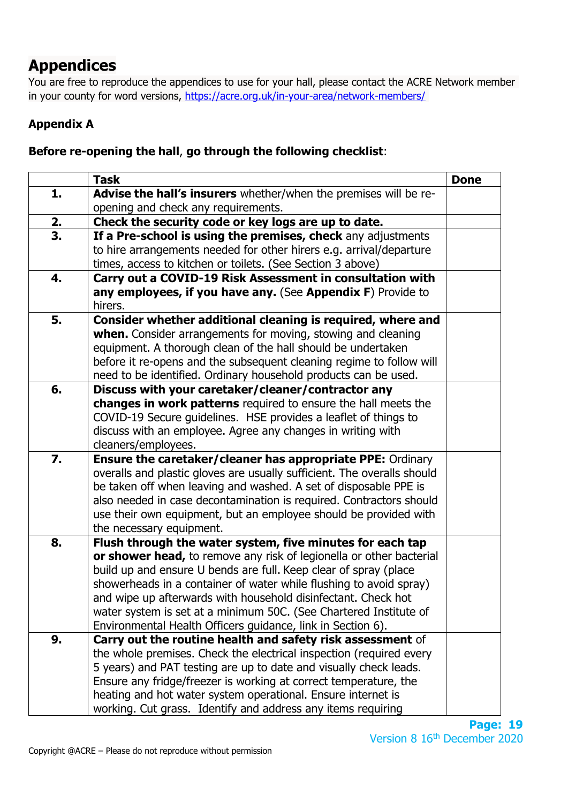# **Appendices**

You are free to reproduce the appendices to use for your hall, please contact the ACRE Network member in your county for word versions,<https://acre.org.uk/in-your-area/network-members/>

# **Appendix A**

# **Before re-opening the hall**, **go through the following checklist**:

|    | <b>Task</b>                                                                                                                       | <b>Done</b> |
|----|-----------------------------------------------------------------------------------------------------------------------------------|-------------|
| 1. | Advise the hall's insurers whether/when the premises will be re-                                                                  |             |
|    | opening and check any requirements.                                                                                               |             |
| 2. | Check the security code or key logs are up to date.                                                                               |             |
| 3. | If a Pre-school is using the premises, check any adjustments                                                                      |             |
|    | to hire arrangements needed for other hirers e.g. arrival/departure                                                               |             |
|    | times, access to kitchen or toilets. (See Section 3 above)                                                                        |             |
| 4. | Carry out a COVID-19 Risk Assessment in consultation with                                                                         |             |
|    | any employees, if you have any. (See Appendix F) Provide to                                                                       |             |
|    | hirers.                                                                                                                           |             |
| 5. | Consider whether additional cleaning is required, where and                                                                       |             |
|    | when. Consider arrangements for moving, stowing and cleaning                                                                      |             |
|    | equipment. A thorough clean of the hall should be undertaken                                                                      |             |
|    | before it re-opens and the subsequent cleaning regime to follow will                                                              |             |
|    | need to be identified. Ordinary household products can be used.                                                                   |             |
| 6. | Discuss with your caretaker/cleaner/contractor any                                                                                |             |
|    | changes in work patterns required to ensure the hall meets the                                                                    |             |
|    | COVID-19 Secure guidelines. HSE provides a leaflet of things to                                                                   |             |
|    | discuss with an employee. Agree any changes in writing with                                                                       |             |
|    | cleaners/employees.                                                                                                               |             |
| 7. | <b>Ensure the caretaker/cleaner has appropriate PPE: Ordinary</b>                                                                 |             |
|    | overalls and plastic gloves are usually sufficient. The overalls should                                                           |             |
|    | be taken off when leaving and washed. A set of disposable PPE is                                                                  |             |
|    | also needed in case decontamination is required. Contractors should                                                               |             |
|    | use their own equipment, but an employee should be provided with                                                                  |             |
|    | the necessary equipment.                                                                                                          |             |
| 8. | Flush through the water system, five minutes for each tap                                                                         |             |
|    | or shower head, to remove any risk of legionella or other bacterial                                                               |             |
|    | build up and ensure U bends are full. Keep clear of spray (place                                                                  |             |
|    | showerheads in a container of water while flushing to avoid spray)                                                                |             |
|    | and wipe up afterwards with household disinfectant. Check hot                                                                     |             |
|    | water system is set at a minimum 50C. (See Chartered Institute of                                                                 |             |
|    | Environmental Health Officers guidance, link in Section 6).                                                                       |             |
| 9. | Carry out the routine health and safety risk assessment of<br>the whole premises. Check the electrical inspection (required every |             |
|    |                                                                                                                                   |             |
|    | 5 years) and PAT testing are up to date and visually check leads.                                                                 |             |
|    | Ensure any fridge/freezer is working at correct temperature, the<br>heating and hot water system operational. Ensure internet is  |             |
|    |                                                                                                                                   |             |
|    | working. Cut grass. Identify and address any items requiring                                                                      |             |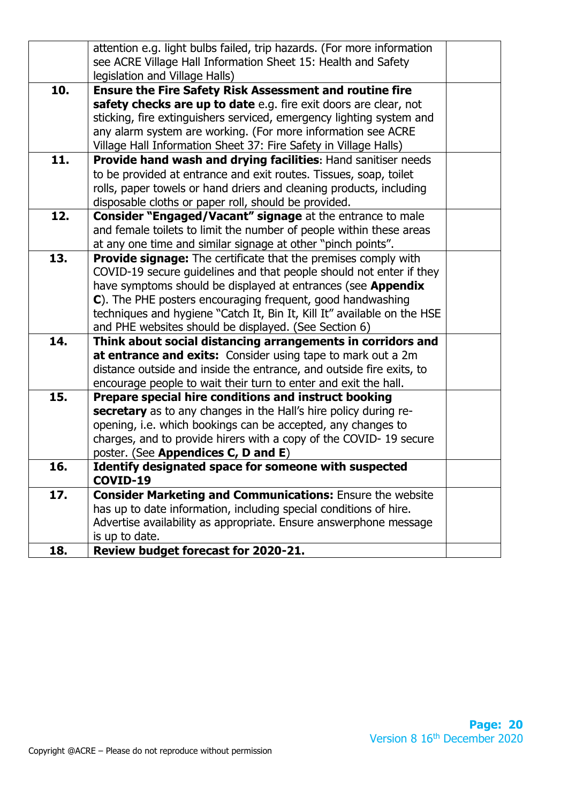|     | attention e.g. light bulbs failed, trip hazards. (For more information<br>see ACRE Village Hall Information Sheet 15: Health and Safety<br>legislation and Village Halls) |  |
|-----|---------------------------------------------------------------------------------------------------------------------------------------------------------------------------|--|
| 10. | <b>Ensure the Fire Safety Risk Assessment and routine fire</b>                                                                                                            |  |
|     | safety checks are up to date e.g. fire exit doors are clear, not                                                                                                          |  |
|     | sticking, fire extinguishers serviced, emergency lighting system and                                                                                                      |  |
|     | any alarm system are working. (For more information see ACRE                                                                                                              |  |
|     | Village Hall Information Sheet 37: Fire Safety in Village Halls)                                                                                                          |  |
| 11. | Provide hand wash and drying facilities: Hand sanitiser needs                                                                                                             |  |
|     | to be provided at entrance and exit routes. Tissues, soap, toilet                                                                                                         |  |
|     | rolls, paper towels or hand driers and cleaning products, including                                                                                                       |  |
|     | disposable cloths or paper roll, should be provided.                                                                                                                      |  |
| 12. | <b>Consider "Engaged/Vacant" signage</b> at the entrance to male                                                                                                          |  |
|     | and female toilets to limit the number of people within these areas                                                                                                       |  |
|     | at any one time and similar signage at other "pinch points".                                                                                                              |  |
| 13. | <b>Provide signage:</b> The certificate that the premises comply with                                                                                                     |  |
|     | COVID-19 secure guidelines and that people should not enter if they                                                                                                       |  |
|     | have symptoms should be displayed at entrances (see Appendix                                                                                                              |  |
|     | C). The PHE posters encouraging frequent, good handwashing                                                                                                                |  |
|     | techniques and hygiene "Catch It, Bin It, Kill It" available on the HSE                                                                                                   |  |
|     | and PHE websites should be displayed. (See Section 6)                                                                                                                     |  |
| 14. | Think about social distancing arrangements in corridors and                                                                                                               |  |
|     | at entrance and exits: Consider using tape to mark out a 2m                                                                                                               |  |
|     | distance outside and inside the entrance, and outside fire exits, to                                                                                                      |  |
|     | encourage people to wait their turn to enter and exit the hall.                                                                                                           |  |
| 15. | Prepare special hire conditions and instruct booking<br>secretary as to any changes in the Hall's hire policy during re-                                                  |  |
|     | opening, i.e. which bookings can be accepted, any changes to                                                                                                              |  |
|     | charges, and to provide hirers with a copy of the COVID-19 secure                                                                                                         |  |
|     | poster. (See Appendices C, D and E)                                                                                                                                       |  |
| 16. | Identify designated space for someone with suspected                                                                                                                      |  |
|     | COVID-19                                                                                                                                                                  |  |
| 17. | <b>Consider Marketing and Communications:</b> Ensure the website                                                                                                          |  |
|     | has up to date information, including special conditions of hire.                                                                                                         |  |
|     | Advertise availability as appropriate. Ensure answerphone message                                                                                                         |  |
|     | is up to date.                                                                                                                                                            |  |
| 18. | Review budget forecast for 2020-21.                                                                                                                                       |  |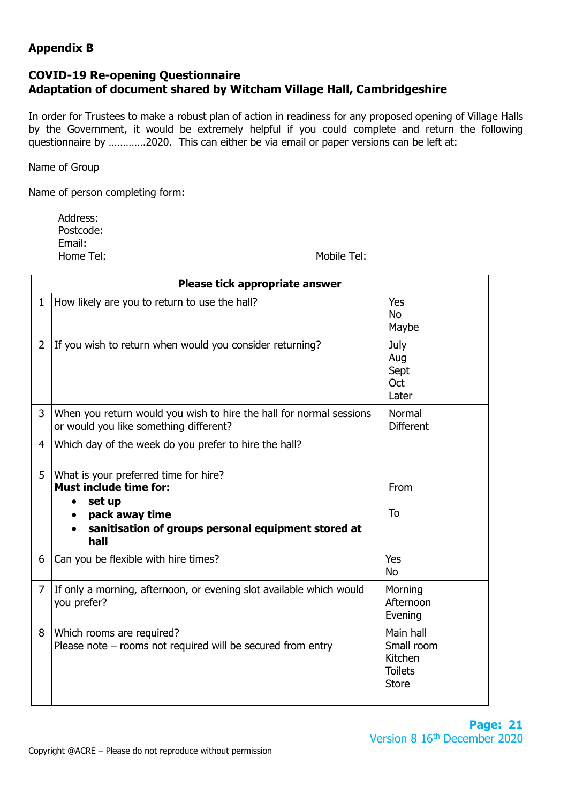# **Appendix B**

# **COVID-19 Re-opening Questionnaire Adaptation of document shared by Witcham Village Hall, Cambridgeshire**

In order for Trustees to make a robust plan of action in readiness for any proposed opening of Village Halls by the Government, it would be extremely helpful if you could complete and return the following questionnaire by ………….2020. This can either be via email or paper versions can be left at:

Name of Group

Name of person completing form:

 Address: Postcode: Email: Home Tel: Nobile Tel: Nobile Tel: Nobile Tel: Nobile Tel: Nobile Tel: Nobile Tel: Nobile Tel: Nobile Tel: Nobile Tel: Nobile Tel: Nobile Tel: Nobile Tel: Nobile Tel: Nobile Tel: Nobile Tel: Nobile Tel: Nobile Tel: Nobile T

|                | Please tick appropriate answer                                                                                                                                                 |                                                                      |
|----------------|--------------------------------------------------------------------------------------------------------------------------------------------------------------------------------|----------------------------------------------------------------------|
| $\mathbf{1}$   | How likely are you to return to use the hall?                                                                                                                                  | <b>Yes</b><br><b>No</b><br>Maybe                                     |
| 2              | If you wish to return when would you consider returning?                                                                                                                       | July<br>Aug<br>Sept<br>Oct<br>Later                                  |
| 3              | When you return would you wish to hire the hall for normal sessions<br>or would you like something different?                                                                  | Normal<br><b>Different</b>                                           |
| $\overline{4}$ | Which day of the week do you prefer to hire the hall?                                                                                                                          |                                                                      |
| 5              | What is your preferred time for hire?<br><b>Must include time for:</b><br>set up<br>pack away time<br>$\bullet$<br>sanitisation of groups personal equipment stored at<br>hall | From<br>To                                                           |
| 6              | Can you be flexible with hire times?                                                                                                                                           | <b>Yes</b><br><b>No</b>                                              |
| $\overline{7}$ | If only a morning, afternoon, or evening slot available which would<br>you prefer?                                                                                             | Morning<br>Afternoon<br>Evening                                      |
| 8              | Which rooms are required?<br>Please note $-$ rooms not required will be secured from entry                                                                                     | Main hall<br>Small room<br>Kitchen<br><b>Toilets</b><br><b>Store</b> |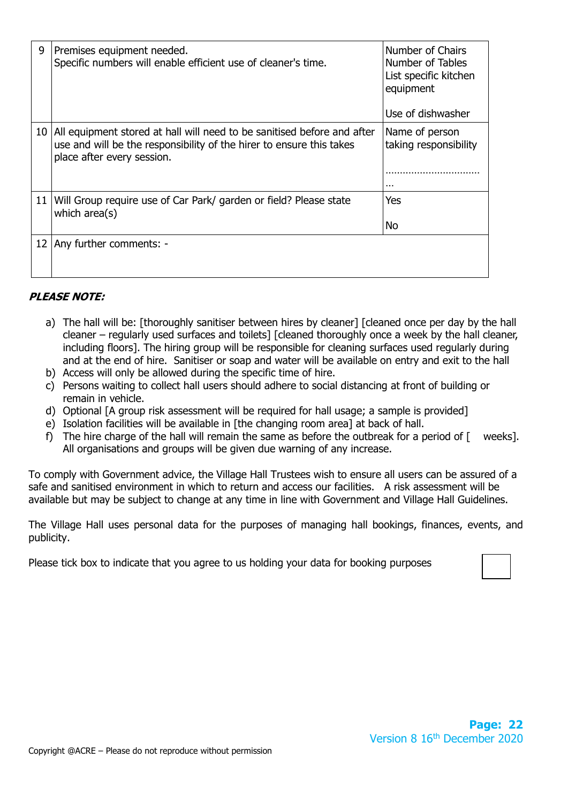| 9               | Premises equipment needed.<br>Specific numbers will enable efficient use of cleaner's time.                                                                                   | Number of Chairs<br>Number of Tables<br>List specific kitchen<br>equipment<br>Use of dishwasher |
|-----------------|-------------------------------------------------------------------------------------------------------------------------------------------------------------------------------|-------------------------------------------------------------------------------------------------|
| 10 <sup>°</sup> | All equipment stored at hall will need to be sanitised before and after<br>use and will be the responsibility of the hirer to ensure this takes<br>place after every session. | Name of person<br>taking responsibility<br>$\cdots$                                             |
| 11 <sup>1</sup> | Will Group require use of Car Park/ garden or field? Please state<br>which $area(s)$                                                                                          | <b>Yes</b><br>No                                                                                |
| 12 <sub>1</sub> | Any further comments: -                                                                                                                                                       |                                                                                                 |

# **PLEASE NOTE:**

- a) The hall will be: [thoroughly sanitiser between hires by cleaner] [cleaned once per day by the hall cleaner – regularly used surfaces and toilets] [cleaned thoroughly once a week by the hall cleaner, including floors]. The hiring group will be responsible for cleaning surfaces used regularly during and at the end of hire. Sanitiser or soap and water will be available on entry and exit to the hall
- b) Access will only be allowed during the specific time of hire.
- c) Persons waiting to collect hall users should adhere to social distancing at front of building or remain in vehicle.
- d) Optional [A group risk assessment will be required for hall usage; a sample is provided]
- e) Isolation facilities will be available in [the changing room area] at back of hall.
- f) The hire charge of the hall will remain the same as before the outbreak for a period of  $\lceil \quad$  weeks]. All organisations and groups will be given due warning of any increase.

To comply with Government advice, the Village Hall Trustees wish to ensure all users can be assured of a safe and sanitised environment in which to return and access our facilities. A risk assessment will be available but may be subject to change at any time in line with Government and Village Hall Guidelines.

The Village Hall uses personal data for the purposes of managing hall bookings, finances, events, and publicity.

Please tick box to indicate that you agree to us holding your data for booking purposes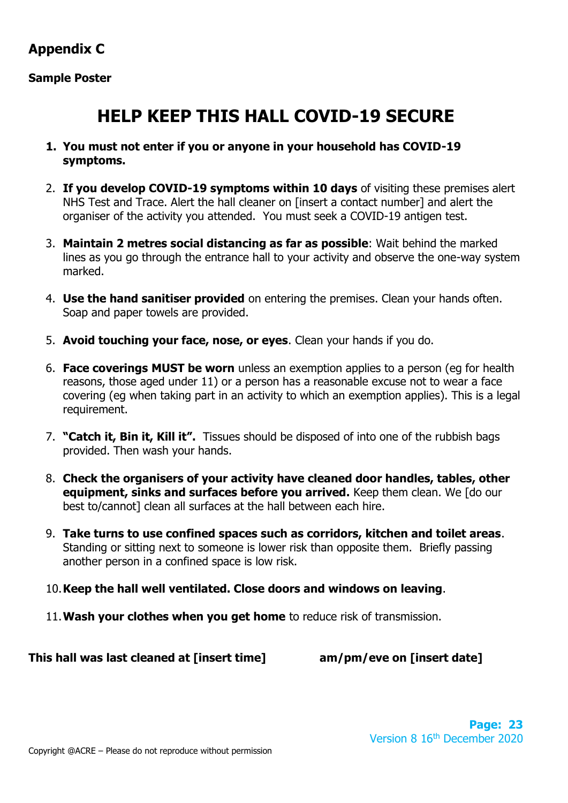# **Appendix C**

# **Sample Poster**

# **HELP KEEP THIS HALL COVID-19 SECURE**

- **1. You must not enter if you or anyone in your household has COVID-19 symptoms.**
- 2. **If you develop COVID-19 symptoms within 10 days** of visiting these premises alert NHS Test and Trace. Alert the hall cleaner on [insert a contact number] and alert the organiser of the activity you attended. You must seek a COVID-19 antigen test.
- 3. **Maintain 2 metres social distancing as far as possible**: Wait behind the marked lines as you go through the entrance hall to your activity and observe the one-way system marked.
- 4. **Use the hand sanitiser provided** on entering the premises. Clean your hands often. Soap and paper towels are provided.
- 5. **Avoid touching your face, nose, or eyes**. Clean your hands if you do.
- 6. **Face coverings MUST be worn** unless an exemption applies to a person (eg for health reasons, those aged under 11) or a person has a reasonable excuse not to wear a face covering (eg when taking part in an activity to which an exemption applies). This is a legal requirement.
- 7. **"Catch it, Bin it, Kill it".** Tissues should be disposed of into one of the rubbish bags provided. Then wash your hands.
- 8. **Check the organisers of your activity have cleaned door handles, tables, other equipment, sinks and surfaces before you arrived.** Keep them clean. We [do our best to/cannot] clean all surfaces at the hall between each hire.
- 9. **Take turns to use confined spaces such as corridors, kitchen and toilet areas**. Standing or sitting next to someone is lower risk than opposite them. Briefly passing another person in a confined space is low risk.
- 10.**Keep the hall well ventilated. Close doors and windows on leaving**.
- 11.**Wash your clothes when you get home** to reduce risk of transmission.

**This hall was last cleaned at [insert time] am/pm/eve on [insert date]**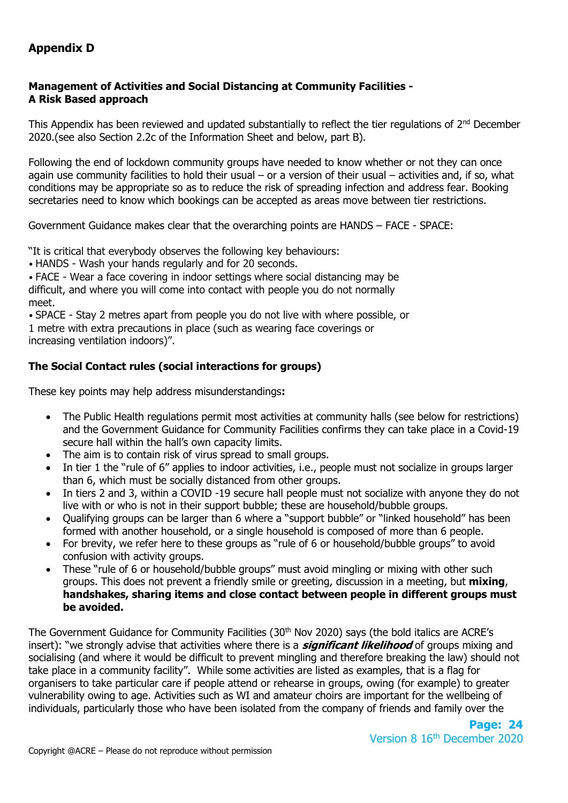# **Appendix D**

# **Management of Activities and Social Distancing at Community Facilities - A Risk Based approach**

This Appendix has been reviewed and updated substantially to reflect the tier regulations of 2<sup>nd</sup> December 2020.(see also Section 2.2c of the Information Sheet and below, part B).

Following the end of lockdown community groups have needed to know whether or not they can once again use community facilities to hold their usual – or a version of their usual – activities and, if so, what conditions may be appropriate so as to reduce the risk of spreading infection and address fear. Booking secretaries need to know which bookings can be accepted as areas move between tier restrictions.

Government Guidance makes clear that the overarching points are HANDS – FACE - SPACE:

"It is critical that everybody observes the following key behaviours:

• HANDS - Wash your hands regularly and for 20 seconds.

• FACE - Wear a face covering in indoor settings where social distancing may be difficult, and where you will come into contact with people you do not normally meet.

• SPACE - Stay 2 metres apart from people you do not live with where possible, or

1 metre with extra precautions in place (such as wearing face coverings or

increasing ventilation indoors)".

# **The Social Contact rules (social interactions for groups)**

These key points may help address misunderstandings**:**

- The Public Health regulations permit most activities at community halls (see below for restrictions) and the Government Guidance for Community Facilities confirms they can take place in a Covid-19 secure hall within the hall's own capacity limits.
- The aim is to contain risk of virus spread to small groups.
- In tier 1 the "rule of 6" applies to indoor activities, i.e., people must not socialize in groups larger than 6, which must be socially distanced from other groups.
- In tiers 2 and 3, within a COVID -19 secure hall people must not socialize with anyone they do not live with or who is not in their support bubble; these are household/bubble groups.
- Qualifying groups can be larger than 6 where a "support bubble" or "linked household" has been formed with another household, or a single household is composed of more than 6 people.
- For brevity, we refer here to these groups as "rule of 6 or household/bubble groups" to avoid confusion with activity groups.
- These "rule of 6 or household/bubble groups" must avoid mingling or mixing with other such groups. This does not prevent a friendly smile or greeting, discussion in a meeting, but **mixing**, **handshakes, sharing items and close contact between people in different groups must be avoided.**

The Government Guidance for Community Facilities (30<sup>th</sup> Nov 2020) says (the bold italics are ACRE's insert): "we strongly advise that activities where there is a **significant likelihood** of groups mixing and socialising (and where it would be difficult to prevent mingling and therefore breaking the law) should not take place in a community facility". While some activities are listed as examples, that is a flag for organisers to take particular care if people attend or rehearse in groups, owing (for example) to greater vulnerability owing to age. Activities such as WI and amateur choirs are important for the wellbeing of individuals, particularly those who have been isolated from the company of friends and family over the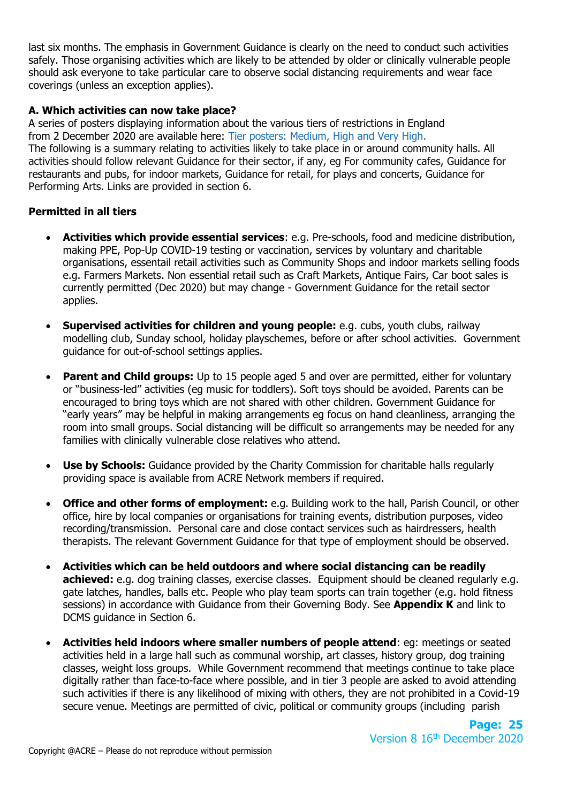last six months. The emphasis in Government Guidance is clearly on the need to conduct such activities safely. Those organising activities which are likely to be attended by older or clinically vulnerable people should ask everyone to take particular care to observe social distancing requirements and wear face coverings (unless an exception applies).

## **A. Which activities can now take place?**

A series of posters displaying information about the various tiers of restrictions in England from 2 December 2020 are available here: Tier posters: Medium, High and Very High. The following is a summary relating to activities likely to take place in or around community halls. All activities should follow relevant Guidance for their sector, if any, eg For community cafes, Guidance for restaurants and pubs, for indoor markets, Guidance for retail, for plays and concerts, Guidance for Performing Arts. Links are provided in section 6.

# **Permitted in all tiers**

- **Activities which provide essential services**: e.g. Pre-schools, food and medicine distribution, making PPE, Pop-Up COVID-19 testing or vaccination, services by voluntary and charitable organisations, essentail retail activities such as Community Shops and indoor markets selling foods e.g. Farmers Markets. Non essential retail such as Craft Markets, Antique Fairs, Car boot sales is currently permitted (Dec 2020) but may change - Government Guidance for the retail sector applies.
- **Supervised activities for children and young people:** e.g. cubs, youth clubs, railway modelling club, Sunday school, holiday playschemes, before or after school activities. Government guidance for out-of-school settings applies.
- **Parent and Child groups:** Up to 15 people aged 5 and over are permitted, either for voluntary or "business-led" activities (eg music for toddlers). Soft toys should be avoided. Parents can be encouraged to bring toys which are not shared with other children. Government Guidance for "early years" may be helpful in making arrangements eg focus on hand cleanliness, arranging the room into small groups. Social distancing will be difficult so arrangements may be needed for any families with clinically vulnerable close relatives who attend.
- **Use by Schools:** Guidance provided by the Charity Commission for charitable halls regularly providing space is available from ACRE Network members if required.
- **Office and other forms of employment:** e.g. Building work to the hall, Parish Council, or other office, hire by local companies or organisations for training events, distribution purposes, video recording/transmission. Personal care and close contact services such as hairdressers, health therapists. The relevant Government Guidance for that type of employment should be observed.
- **Activities which can be held outdoors and where social distancing can be readily achieved:** e.g. dog training classes, exercise classes. Equipment should be cleaned regularly e.g. gate latches, handles, balls etc. People who play team sports can train together (e.g. hold fitness sessions) in accordance with Guidance from their Governing Body. See **Appendix K** and link to DCMS guidance in Section 6.
- **Activities held indoors where smaller numbers of people attend**: eg: meetings or seated activities held in a large hall such as communal worship, art classes, history group, dog training classes, weight loss groups. While Government recommend that meetings continue to take place digitally rather than face-to-face where possible, and in tier 3 people are asked to avoid attending such activities if there is any likelihood of mixing with others, they are not prohibited in a Covid-19 secure venue. Meetings are permitted of civic, political or community groups (including parish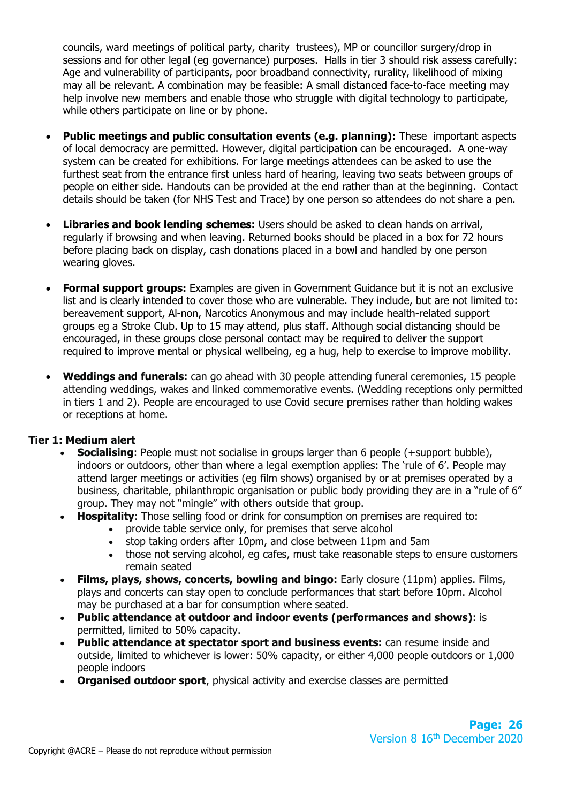councils, ward meetings of political party, charity trustees), MP or councillor surgery/drop in sessions and for other legal (eg governance) purposes. Halls in tier 3 should risk assess carefully: Age and vulnerability of participants, poor broadband connectivity, rurality, likelihood of mixing may all be relevant. A combination may be feasible: A small distanced face-to-face meeting may help involve new members and enable those who struggle with digital technology to participate, while others participate on line or by phone.

- **Public meetings and public consultation events (e.g. planning):** These important aspects of local democracy are permitted. However, digital participation can be encouraged. A one-way system can be created for exhibitions. For large meetings attendees can be asked to use the furthest seat from the entrance first unless hard of hearing, leaving two seats between groups of people on either side. Handouts can be provided at the end rather than at the beginning. Contact details should be taken (for NHS Test and Trace) by one person so attendees do not share a pen.
- **Libraries and book lending schemes:** Users should be asked to clean hands on arrival, regularly if browsing and when leaving. Returned books should be placed in a box for 72 hours before placing back on display, cash donations placed in a bowl and handled by one person wearing gloves.
- **Formal support groups:** Examples are given in Government Guidance but it is not an exclusive list and is clearly intended to cover those who are vulnerable. They include, but are not limited to: bereavement support, Al-non, Narcotics Anonymous and may include health-related support groups eg a Stroke Club. Up to 15 may attend, plus staff. Although social distancing should be encouraged, in these groups close personal contact may be required to deliver the support required to improve mental or physical wellbeing, eg a hug, help to exercise to improve mobility.
- **Weddings and funerals:** can go ahead with 30 people attending funeral ceremonies, 15 people attending weddings, wakes and linked commemorative events. (Wedding receptions only permitted in tiers 1 and 2). People are encouraged to use Covid secure premises rather than holding wakes or receptions at home.

## **Tier 1: Medium alert**

- **Socialising**: People must not socialise in groups larger than 6 people (+support bubble), indoors or outdoors, other than where a legal exemption applies: The 'rule of 6'. People may attend larger meetings or activities (eg film shows) organised by or at premises operated by a business, charitable, philanthropic organisation or public body providing they are in a "rule of 6" group. They may not "mingle" with others outside that group.
	- **Hospitality:** Those selling food or drink for consumption on premises are required to:
		- provide table service only, for premises that serve alcohol
			- stop taking orders after 10pm, and close between 11pm and 5am
			- those not serving alcohol, eg cafes, must take reasonable steps to ensure customers remain seated
- **Films, plays, shows, concerts, bowling and bingo:** Early closure (11pm) applies. Films, plays and concerts can stay open to conclude performances that start before 10pm. Alcohol may be purchased at a bar for consumption where seated.
- **Public attendance at outdoor and indoor events (performances and shows)**: is permitted, limited to 50% capacity.
- **Public attendance at spectator sport and business events:** can resume inside and outside, limited to whichever is lower: 50% capacity, or either 4,000 people outdoors or 1,000 people indoors
- **Organised outdoor sport**, physical activity and exercise classes are permitted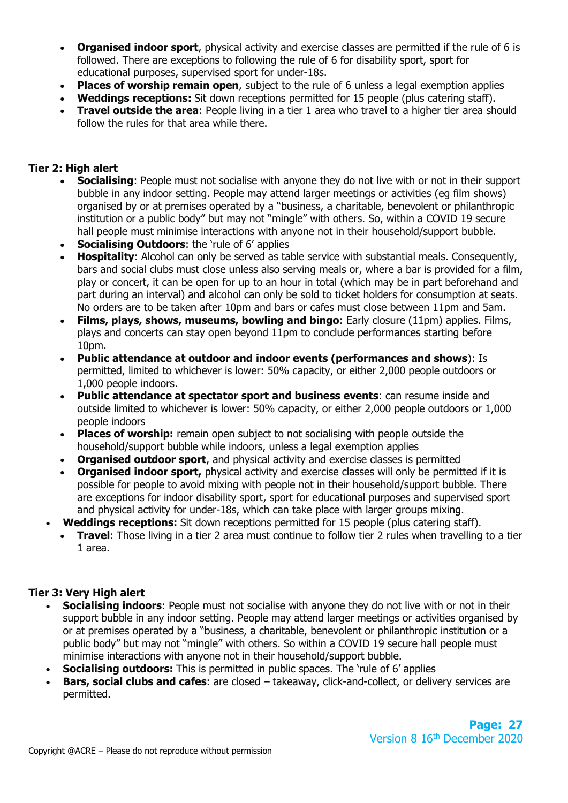- **Organised indoor sport**, physical activity and exercise classes are permitted if the rule of 6 is followed. There are exceptions to following the rule of 6 for disability sport, sport for educational purposes, supervised sport for under-18s.
- **Places of worship remain open**, subject to the rule of 6 unless a legal exemption applies
- **Weddings receptions:** Sit down receptions permitted for 15 people (plus catering staff).
- **Travel outside the area:** People living in a tier 1 area who travel to a higher tier area should follow the rules for that area while there.

## **Tier 2: High alert**

- **Socialising:** People must not socialise with anyone they do not live with or not in their support bubble in any indoor setting. People may attend larger meetings or activities (eg film shows) organised by or at premises operated by a "business, a charitable, benevolent or philanthropic institution or a public body" but may not "mingle" with others. So, within a COVID 19 secure hall people must minimise interactions with anyone not in their household/support bubble.
- **Socialising Outdoors:** the 'rule of 6' applies
- **Hospitality**: Alcohol can only be served as table service with substantial meals. Consequently, bars and social clubs must close unless also serving meals or, where a bar is provided for a film, play or concert, it can be open for up to an hour in total (which may be in part beforehand and part during an interval) and alcohol can only be sold to ticket holders for consumption at seats. No orders are to be taken after 10pm and bars or cafes must close between 11pm and 5am.
- **Films, plays, shows, museums, bowling and bingo**: Early closure (11pm) applies. Films, plays and concerts can stay open beyond 11pm to conclude performances starting before 10pm.
- **Public attendance at outdoor and indoor events (performances and shows**): Is permitted, limited to whichever is lower: 50% capacity, or either 2,000 people outdoors or 1,000 people indoors.
- **Public attendance at spectator sport and business events**: can resume inside and outside limited to whichever is lower: 50% capacity, or either 2,000 people outdoors or 1,000 people indoors
- **Places of worship:** remain open subject to not socialising with people outside the household/support bubble while indoors, unless a legal exemption applies
- **Organised outdoor sport**, and physical activity and exercise classes is permitted
- **Organised indoor sport,** physical activity and exercise classes will only be permitted if it is possible for people to avoid mixing with people not in their household/support bubble. There are exceptions for indoor disability sport, sport for educational purposes and supervised sport and physical activity for under-18s, which can take place with larger groups mixing.
- **Weddings receptions:** Sit down receptions permitted for 15 people (plus catering staff).
	- **Travel**: Those living in a tier 2 area must continue to follow tier 2 rules when travelling to a tier 1 area.

#### **Tier 3: Very High alert**

- **Socialising indoors**: People must not socialise with anyone they do not live with or not in their support bubble in any indoor setting. People may attend larger meetings or activities organised by or at premises operated by a "business, a charitable, benevolent or philanthropic institution or a public body" but may not "mingle" with others. So within a COVID 19 secure hall people must minimise interactions with anyone not in their household/support bubble.
- **Socialising outdoors:** This is permitted in public spaces. The 'rule of 6' applies
- **Bars, social clubs and cafes:** are closed takeaway, click-and-collect, or delivery services are permitted.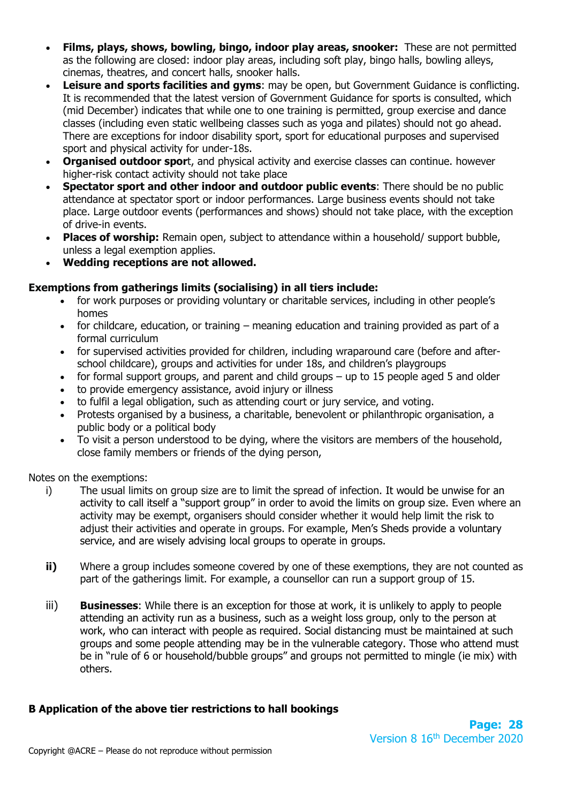- **Films, plays, shows, bowling, bingo, indoor play areas, snooker:** These are not permitted as the following are closed: indoor play areas, including soft play, bingo halls, bowling alleys, cinemas, theatres, and concert halls, snooker halls.
- **Leisure and sports facilities and gyms**: may be open, but Government Guidance is conflicting. It is recommended that the latest version of Government Guidance for sports is consulted, which (mid December) indicates that while one to one training is permitted, group exercise and dance classes (including even static wellbeing classes such as yoga and pilates) should not go ahead. There are exceptions for indoor disability sport, sport for educational purposes and supervised sport and physical activity for under-18s.
- **Organised outdoor spor**t, and physical activity and exercise classes can continue. however higher-risk contact activity should not take place
- **Spectator sport and other indoor and outdoor public events**: There should be no public attendance at spectator sport or indoor performances. Large business events should not take place. Large outdoor events (performances and shows) should not take place, with the exception of drive-in events.
- **Places of worship:** Remain open, subject to attendance within a household/ support bubble, unless a legal exemption applies.
- **Wedding receptions are not allowed.**

# **Exemptions from gatherings limits (socialising) in all tiers include:**

- for work purposes or providing voluntary or charitable services, including in other people's homes
- for childcare, education, or training meaning education and training provided as part of a formal curriculum
- for supervised activities provided for children, including wraparound care (before and afterschool childcare), groups and activities for under 18s, and children's playgroups
- for formal support groups, and parent and child groups up to 15 people aged 5 and older
- to provide emergency assistance, avoid injury or illness
- to fulfil a legal obligation, such as attending court or jury service, and voting.
- Protests organised by a business, a charitable, benevolent or philanthropic organisation, a public body or a political body
- To visit a person understood to be dying, where the visitors are members of the household, close family members or friends of the dying person,

Notes on the exemptions:

- i) The usual limits on group size are to limit the spread of infection. It would be unwise for an activity to call itself a "support group" in order to avoid the limits on group size. Even where an activity may be exempt, organisers should consider whether it would help limit the risk to adjust their activities and operate in groups. For example, Men's Sheds provide a voluntary service, and are wisely advising local groups to operate in groups.
- **ii)** Where a group includes someone covered by one of these exemptions, they are not counted as part of the gatherings limit. For example, a counsellor can run a support group of 15.
- iii) **Businesses**: While there is an exception for those at work, it is unlikely to apply to people attending an activity run as a business, such as a weight loss group, only to the person at work, who can interact with people as required. Social distancing must be maintained at such groups and some people attending may be in the vulnerable category. Those who attend must be in "rule of 6 or household/bubble groups" and groups not permitted to mingle (ie mix) with others.

# **B Application of the above tier restrictions to hall bookings**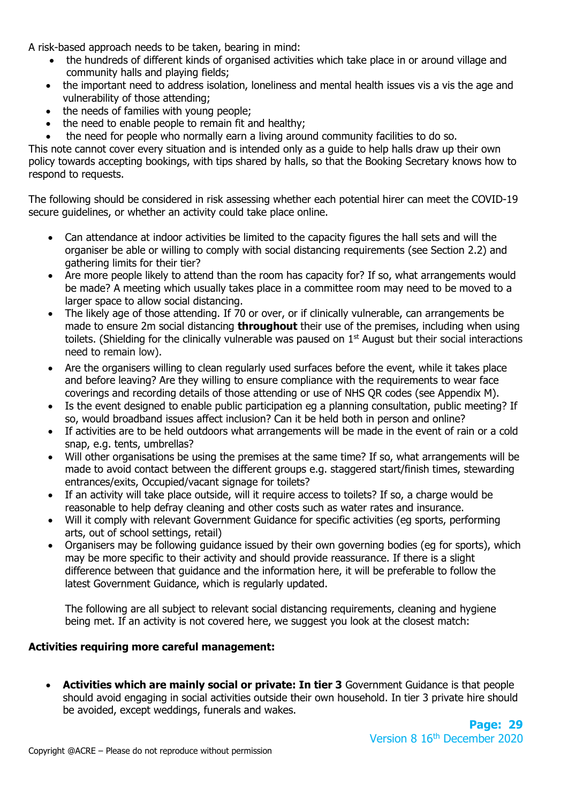A risk-based approach needs to be taken, bearing in mind:

- the hundreds of different kinds of organised activities which take place in or around village and community halls and playing fields;
- the important need to address isolation, loneliness and mental health issues vis a vis the age and vulnerability of those attending;
- the needs of families with young people;
- the need to enable people to remain fit and healthy:
- the need for people who normally earn a living around community facilities to do so.

This note cannot cover every situation and is intended only as a guide to help halls draw up their own policy towards accepting bookings, with tips shared by halls, so that the Booking Secretary knows how to respond to requests.

The following should be considered in risk assessing whether each potential hirer can meet the COVID-19 secure guidelines, or whether an activity could take place online.

- Can attendance at indoor activities be limited to the capacity figures the hall sets and will the organiser be able or willing to comply with social distancing requirements (see Section 2.2) and gathering limits for their tier?
- Are more people likely to attend than the room has capacity for? If so, what arrangements would be made? A meeting which usually takes place in a committee room may need to be moved to a larger space to allow social distancing.
- The likely age of those attending. If 70 or over, or if clinically vulnerable, can arrangements be made to ensure 2m social distancing **throughout** their use of the premises, including when using toilets. (Shielding for the clinically vulnerable was paused on  $1<sup>st</sup>$  August but their social interactions need to remain low).
- Are the organisers willing to clean regularly used surfaces before the event, while it takes place and before leaving? Are they willing to ensure compliance with the requirements to wear face coverings and recording details of those attending or use of NHS QR codes (see Appendix M).
- Is the event designed to enable public participation eg a planning consultation, public meeting? If so, would broadband issues affect inclusion? Can it be held both in person and online?
- If activities are to be held outdoors what arrangements will be made in the event of rain or a cold snap, e.g. tents, umbrellas?
- Will other organisations be using the premises at the same time? If so, what arrangements will be made to avoid contact between the different groups e.g. staggered start/finish times, stewarding entrances/exits, Occupied/vacant signage for toilets?
- If an activity will take place outside, will it require access to toilets? If so, a charge would be reasonable to help defray cleaning and other costs such as water rates and insurance.
- Will it comply with relevant Government Guidance for specific activities (eg sports, performing arts, out of school settings, retail)
- Organisers may be following guidance issued by their own governing bodies (eg for sports), which may be more specific to their activity and should provide reassurance. If there is a slight difference between that guidance and the information here, it will be preferable to follow the latest Government Guidance, which is regularly updated.

The following are all subject to relevant social distancing requirements, cleaning and hygiene being met. If an activity is not covered here, we suggest you look at the closest match:

## **Activities requiring more careful management:**

• **Activities which are mainly social or private: In tier 3** Government Guidance is that people should avoid engaging in social activities outside their own household. In tier 3 private hire should be avoided, except weddings, funerals and wakes.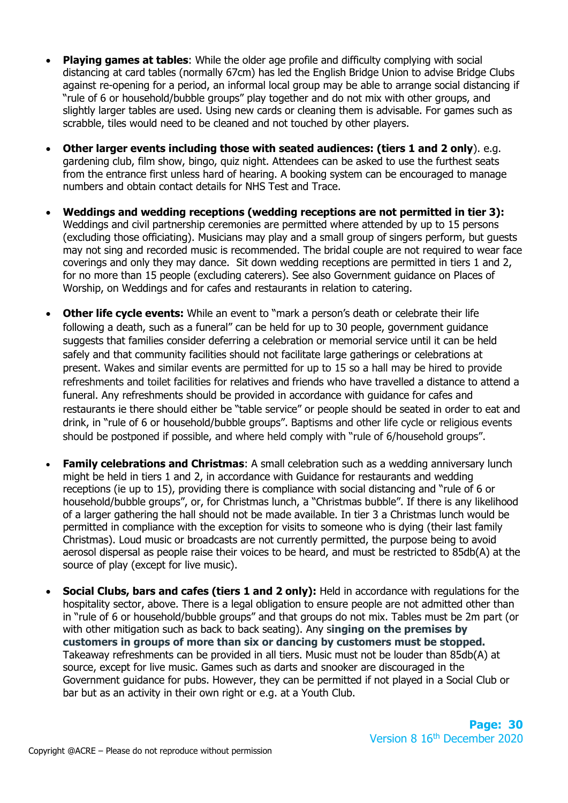- **Playing games at tables:** While the older age profile and difficulty complying with social distancing at card tables (normally 67cm) has led the English Bridge Union to advise Bridge Clubs against re-opening for a period, an informal local group may be able to arrange social distancing if "rule of 6 or household/bubble groups" play together and do not mix with other groups, and slightly larger tables are used. Using new cards or cleaning them is advisable. For games such as scrabble, tiles would need to be cleaned and not touched by other players.
- **Other larger events including those with seated audiences: (tiers 1 and 2 only**). e.g. gardening club, film show, bingo, quiz night. Attendees can be asked to use the furthest seats from the entrance first unless hard of hearing. A booking system can be encouraged to manage numbers and obtain contact details for NHS Test and Trace.
- **Weddings and wedding receptions (wedding receptions are not permitted in tier 3):**  Weddings and civil partnership ceremonies are permitted where attended by up to 15 persons (excluding those officiating). Musicians may play and a small group of singers perform, but guests may not sing and recorded music is recommended. The bridal couple are not required to wear face coverings and only they may dance. Sit down wedding receptions are permitted in tiers 1 and 2, for no more than 15 people (excluding caterers). See also Government guidance on Places of Worship, on Weddings and for cafes and restaurants in relation to catering.
- **Other life cycle events:** While an event to "mark a person's death or celebrate their life following a death, such as a funeral" can be held for up to 30 people, government guidance suggests that families consider deferring a celebration or memorial service until it can be held safely and that community facilities should not facilitate large gatherings or celebrations at present. Wakes and similar events are permitted for up to 15 so a hall may be hired to provide refreshments and toilet facilities for relatives and friends who have travelled a distance to attend a funeral. Any refreshments should be provided in accordance with guidance for cafes and restaurants ie there should either be "table service" or people should be seated in order to eat and drink, in "rule of 6 or household/bubble groups". Baptisms and other life cycle or religious events should be postponed if possible, and where held comply with "rule of 6/household groups".
- **Family celebrations and Christmas:** A small celebration such as a wedding anniversary lunch might be held in tiers 1 and 2, in accordance with Guidance for restaurants and wedding receptions (ie up to 15), providing there is compliance with social distancing and "rule of 6 or household/bubble groups", or, for Christmas lunch, a "Christmas bubble". If there is any likelihood of a larger gathering the hall should not be made available. In tier 3 a Christmas lunch would be permitted in compliance with the exception for visits to someone who is dying (their last family Christmas). Loud music or broadcasts are not currently permitted, the purpose being to avoid aerosol dispersal as people raise their voices to be heard, and must be restricted to 85db(A) at the source of play (except for live music).
- **Social Clubs, bars and cafes (tiers 1 and 2 only):** Held in accordance with regulations for the hospitality sector, above. There is a legal obligation to ensure people are not admitted other than in "rule of 6 or household/bubble groups" and that groups do not mix. Tables must be 2m part (or with other mitigation such as back to back seating). Any s**inging on the premises by customers in groups of more than six or dancing by customers must be stopped.**  Takeaway refreshments can be provided in all tiers. Music must not be louder than 85db(A) at source, except for live music. Games such as darts and snooker are discouraged in the Government guidance for pubs. However, they can be permitted if not played in a Social Club or bar but as an activity in their own right or e.g. at a Youth Club.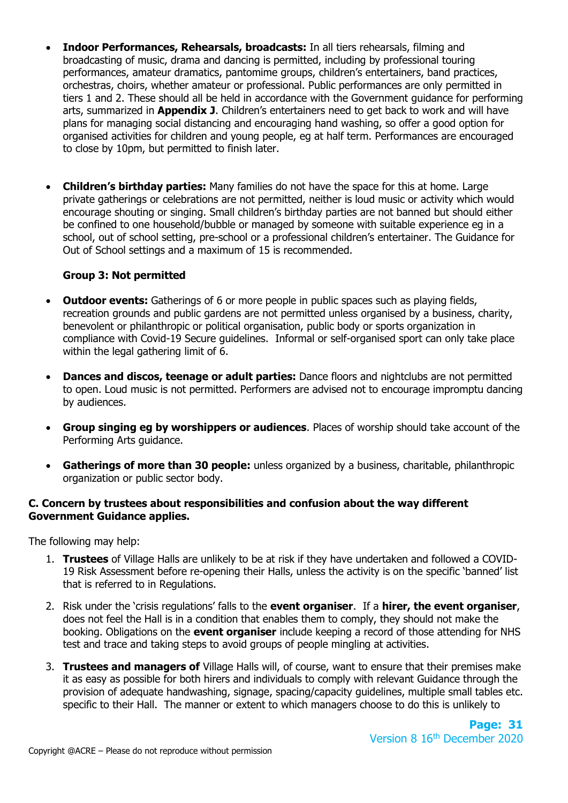- **Indoor Performances, Rehearsals, broadcasts:** In all tiers rehearsals, filming and broadcasting of music, drama and dancing is permitted, including by professional touring performances, amateur dramatics, pantomime groups, children's entertainers, band practices, orchestras, choirs, whether amateur or professional. Public performances are only permitted in tiers 1 and 2. These should all be held in accordance with the Government guidance for performing arts, summarized in **Appendix J**. Children's entertainers need to get back to work and will have plans for managing social distancing and encouraging hand washing, so offer a good option for organised activities for children and young people, eg at half term. Performances are encouraged to close by 10pm, but permitted to finish later.
- **Children's birthday parties:** Many families do not have the space for this at home. Large private gatherings or celebrations are not permitted, neither is loud music or activity which would encourage shouting or singing. Small children's birthday parties are not banned but should either be confined to one household/bubble or managed by someone with suitable experience eg in a school, out of school setting, pre-school or a professional children's entertainer. The Guidance for Out of School settings and a maximum of 15 is recommended.

# **Group 3: Not permitted**

- **Outdoor events:** Gatherings of 6 or more people in public spaces such as playing fields, recreation grounds and public gardens are not permitted unless organised by a business, charity, benevolent or philanthropic or political organisation, public body or sports organization in compliance with Covid-19 Secure guidelines. Informal or self-organised sport can only take place within the legal gathering limit of 6.
- **Dances and discos, teenage or adult parties:** Dance floors and nightclubs are not permitted to open. Loud music is not permitted. Performers are advised not to encourage impromptu dancing by audiences.
- **Group singing eg by worshippers or audiences**. Places of worship should take account of the Performing Arts guidance.
- **Gatherings of more than 30 people:** unless organized by a business, charitable, philanthropic organization or public sector body.

#### **C. Concern by trustees about responsibilities and confusion about the way different Government Guidance applies.**

The following may help:

- 1. **Trustees** of Village Halls are unlikely to be at risk if they have undertaken and followed a COVID-19 Risk Assessment before re-opening their Halls, unless the activity is on the specific 'banned' list that is referred to in Regulations.
- 2. Risk under the 'crisis regulations' falls to the **event organiser**. If a **hirer, the event organiser**, does not feel the Hall is in a condition that enables them to comply, they should not make the booking. Obligations on the **event organiser** include keeping a record of those attending for NHS test and trace and taking steps to avoid groups of people mingling at activities.
- 3. **Trustees and managers of** Village Halls will, of course, want to ensure that their premises make it as easy as possible for both hirers and individuals to comply with relevant Guidance through the provision of adequate handwashing, signage, spacing/capacity guidelines, multiple small tables etc. specific to their Hall. The manner or extent to which managers choose to do this is unlikely to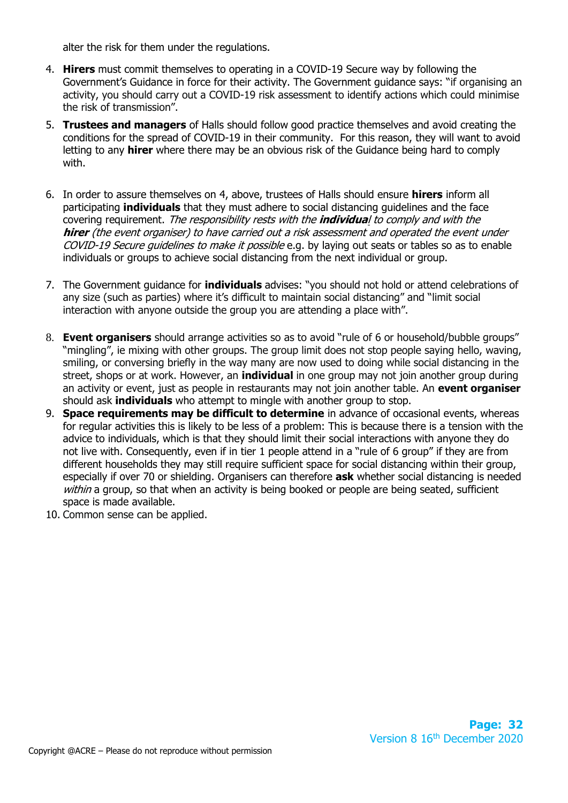alter the risk for them under the regulations.

- 4. **Hirers** must commit themselves to operating in a COVID-19 Secure way by following the Government's Guidance in force for their activity. The Government guidance says: "if organising an activity, you should carry out a COVID-19 risk assessment to identify actions which could minimise the risk of transmission".
- 5. **Trustees and managers** of Halls should follow good practice themselves and avoid creating the conditions for the spread of COVID-19 in their community. For this reason, they will want to avoid letting to any **hirer** where there may be an obvious risk of the Guidance being hard to comply with.
- 6. In order to assure themselves on 4, above, trustees of Halls should ensure **hirers** inform all participating **individuals** that they must adhere to social distancing guidelines and the face covering requirement. The responsibility rests with the **individua**l to comply and with the **hirer** (the event organiser) to have carried out a risk assessment and operated the event under COVID-19 Secure guidelines to make it possible e.g. by laying out seats or tables so as to enable individuals or groups to achieve social distancing from the next individual or group.
- 7. The Government guidance for **individuals** advises: "you should not hold or attend celebrations of any size (such as parties) where it's difficult to maintain social distancing" and "limit social interaction with anyone outside the group you are attending a place with".
- 8. **Event organisers** should arrange activities so as to avoid "rule of 6 or household/bubble groups" "mingling", ie mixing with other groups. The group limit does not stop people saying hello, waving, smiling, or conversing briefly in the way many are now used to doing while social distancing in the street, shops or at work. However, an **individual** in one group may not join another group during an activity or event, just as people in restaurants may not join another table. An **event organiser** should ask **individuals** who attempt to mingle with another group to stop.
- 9. **Space requirements may be difficult to determine** in advance of occasional events, whereas for regular activities this is likely to be less of a problem: This is because there is a tension with the advice to individuals, which is that they should limit their social interactions with anyone they do not live with. Consequently, even if in tier 1 people attend in a "rule of 6 group" if they are from different households they may still require sufficient space for social distancing within their group, especially if over 70 or shielding. Organisers can therefore **ask** whether social distancing is needed within a group, so that when an activity is being booked or people are being seated, sufficient space is made available.
- 10. Common sense can be applied.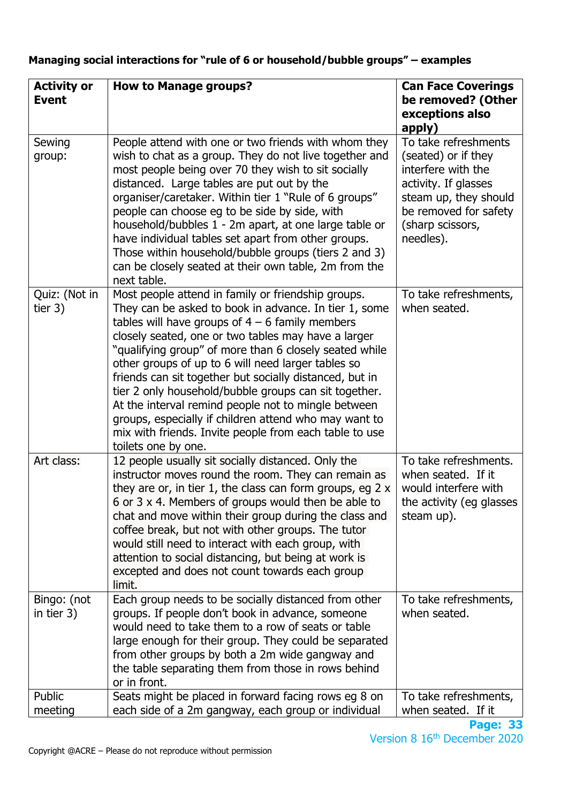| <b>Activity or</b><br><b>Event</b> | <b>How to Manage groups?</b>                                                                                                                                                                                                                                                                                                                                                                                                                                                                                                                                                                                                                                 | <b>Can Face Coverings</b><br>be removed? (Other<br>exceptions also<br>apply)                                                                                                 |
|------------------------------------|--------------------------------------------------------------------------------------------------------------------------------------------------------------------------------------------------------------------------------------------------------------------------------------------------------------------------------------------------------------------------------------------------------------------------------------------------------------------------------------------------------------------------------------------------------------------------------------------------------------------------------------------------------------|------------------------------------------------------------------------------------------------------------------------------------------------------------------------------|
| Sewing<br>group:                   | People attend with one or two friends with whom they<br>wish to chat as a group. They do not live together and<br>most people being over 70 they wish to sit socially<br>distanced. Large tables are put out by the<br>organiser/caretaker. Within tier 1 "Rule of 6 groups"<br>people can choose eg to be side by side, with<br>household/bubbles 1 - 2m apart, at one large table or<br>have individual tables set apart from other groups.<br>Those within household/bubble groups (tiers 2 and 3)<br>can be closely seated at their own table, 2m from the<br>next table.                                                                                | To take refreshments<br>(seated) or if they<br>interfere with the<br>activity. If glasses<br>steam up, they should<br>be removed for safety<br>(sharp scissors,<br>needles). |
| Quiz: (Not in<br>tier $3)$         | Most people attend in family or friendship groups.<br>They can be asked to book in advance. In tier 1, some<br>tables will have groups of $4 - 6$ family members<br>closely seated, one or two tables may have a larger<br>"qualifying group" of more than 6 closely seated while<br>other groups of up to 6 will need larger tables so<br>friends can sit together but socially distanced, but in<br>tier 2 only household/bubble groups can sit together.<br>At the interval remind people not to mingle between<br>groups, especially if children attend who may want to<br>mix with friends. Invite people from each table to use<br>toilets one by one. | To take refreshments,<br>when seated.                                                                                                                                        |
| Art class:                         | 12 people usually sit socially distanced. Only the<br>instructor moves round the room. They can remain as<br>they are or, in tier 1, the class can form groups, eg $2 \times$<br>6 or 3 x 4. Members of groups would then be able to<br>chat and move within their group during the class and<br>coffee break, but not with other groups. The tutor<br>would still need to interact with each group, with<br>attention to social distancing, but being at work is<br>excepted and does not count towards each group<br>limit.                                                                                                                                | To take refreshments.<br>when seated. If it<br>would interfere with<br>the activity (eg glasses<br>steam up).                                                                |
| Bingo: (not<br>in tier 3)          | Each group needs to be socially distanced from other<br>groups. If people don't book in advance, someone<br>would need to take them to a row of seats or table<br>large enough for their group. They could be separated<br>from other groups by both a 2m wide gangway and<br>the table separating them from those in rows behind<br>or in front.                                                                                                                                                                                                                                                                                                            | To take refreshments,<br>when seated.                                                                                                                                        |
| Public<br>meeting                  | Seats might be placed in forward facing rows eg 8 on<br>each side of a 2m gangway, each group or individual                                                                                                                                                                                                                                                                                                                                                                                                                                                                                                                                                  | To take refreshments,<br>when seated. If it                                                                                                                                  |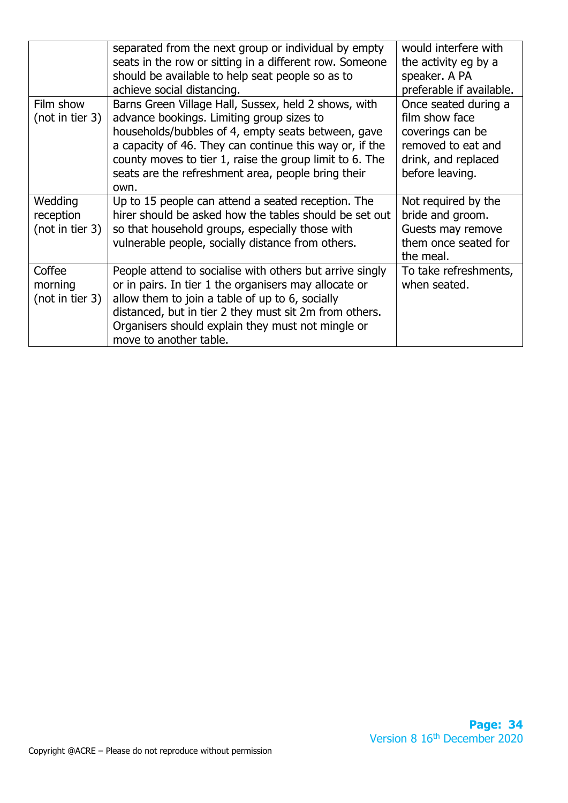|                 | separated from the next group or individual by empty                                                              | would interfere with     |
|-----------------|-------------------------------------------------------------------------------------------------------------------|--------------------------|
|                 | seats in the row or sitting in a different row. Someone                                                           | the activity eg by a     |
|                 | should be available to help seat people so as to                                                                  | speaker. A PA            |
|                 | achieve social distancing.                                                                                        | preferable if available. |
| Film show       | Barns Green Village Hall, Sussex, held 2 shows, with                                                              | Once seated during a     |
| (not in tier 3) | advance bookings. Limiting group sizes to                                                                         | film show face           |
|                 | households/bubbles of 4, empty seats between, gave                                                                | coverings can be         |
|                 | a capacity of 46. They can continue this way or, if the                                                           | removed to eat and       |
|                 | county moves to tier 1, raise the group limit to 6. The                                                           | drink, and replaced      |
|                 | seats are the refreshment area, people bring their                                                                | before leaving.          |
|                 | own.                                                                                                              |                          |
| Wedding         | Up to 15 people can attend a seated reception. The                                                                | Not required by the      |
| reception       | hirer should be asked how the tables should be set out                                                            | bride and groom.         |
| (not in tier 3) | so that household groups, especially those with                                                                   | Guests may remove        |
|                 |                                                                                                                   |                          |
|                 |                                                                                                                   | them once seated for     |
|                 | vulnerable people, socially distance from others.                                                                 | the meal.                |
| Coffee          |                                                                                                                   | To take refreshments,    |
| morning         | People attend to socialise with others but arrive singly<br>or in pairs. In tier 1 the organisers may allocate or | when seated.             |
|                 |                                                                                                                   |                          |
| (not in tier 3) | allow them to join a table of up to 6, socially                                                                   |                          |
|                 | distanced, but in tier 2 they must sit 2m from others.<br>Organisers should explain they must not mingle or       |                          |
|                 |                                                                                                                   |                          |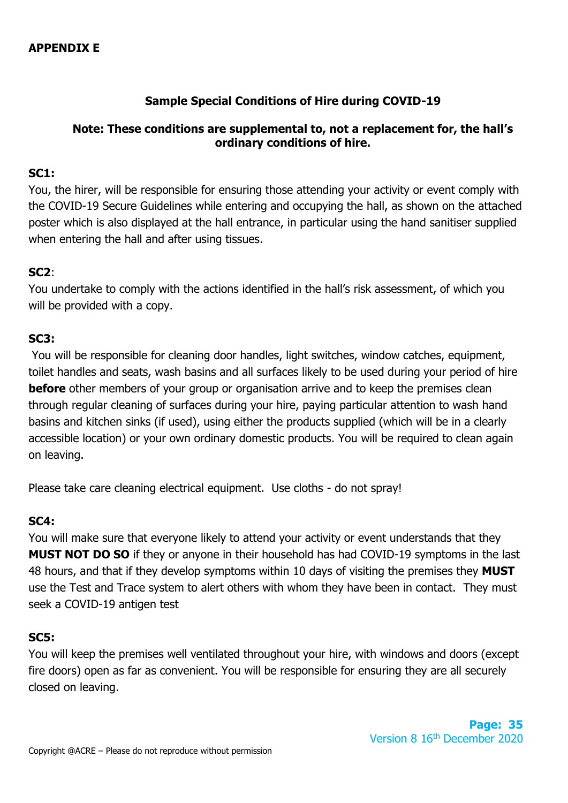# **Sample Special Conditions of Hire during COVID-19**

# **Note: These conditions are supplemental to, not a replacement for, the hall's ordinary conditions of hire.**

# **SC1:**

You, the hirer, will be responsible for ensuring those attending your activity or event comply with the COVID-19 Secure Guidelines while entering and occupying the hall, as shown on the attached poster which is also displayed at the hall entrance, in particular using the hand sanitiser supplied when entering the hall and after using tissues.

# **SC2**:

You undertake to comply with the actions identified in the hall's risk assessment, of which you will be provided with a copy.

# **SC3:**

You will be responsible for cleaning door handles, light switches, window catches, equipment, toilet handles and seats, wash basins and all surfaces likely to be used during your period of hire **before** other members of your group or organisation arrive and to keep the premises clean through regular cleaning of surfaces during your hire, paying particular attention to wash hand basins and kitchen sinks (if used), using either the products supplied (which will be in a clearly accessible location) or your own ordinary domestic products. You will be required to clean again on leaving.

Please take care cleaning electrical equipment. Use cloths - do not spray!

# **SC4:**

You will make sure that everyone likely to attend your activity or event understands that they **MUST NOT DO SO** if they or anyone in their household has had COVID-19 symptoms in the last 48 hours, and that if they develop symptoms within 10 days of visiting the premises they **MUST** use the Test and Trace system to alert others with whom they have been in contact. They must seek a COVID-19 antigen test

# **SC5:**

You will keep the premises well ventilated throughout your hire, with windows and doors (except fire doors) open as far as convenient. You will be responsible for ensuring they are all securely closed on leaving.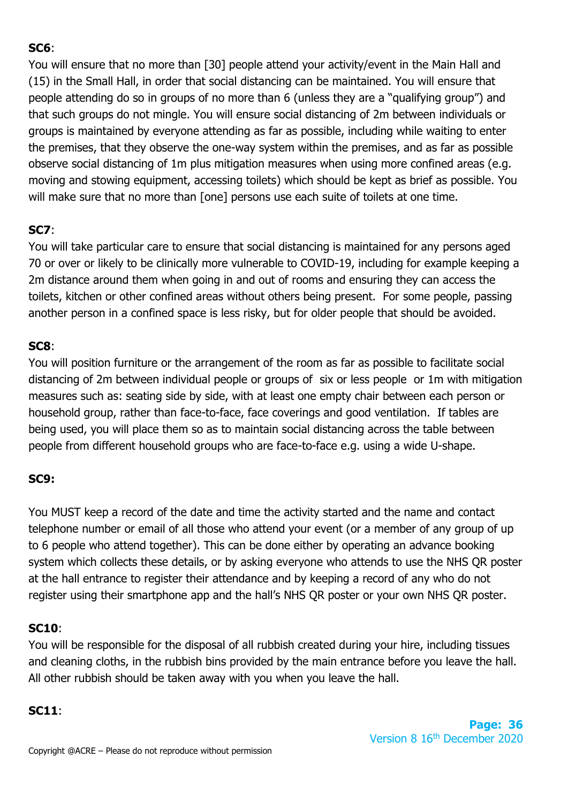# **SC6**:

You will ensure that no more than [30] people attend your activity/event in the Main Hall and (15) in the Small Hall, in order that social distancing can be maintained. You will ensure that people attending do so in groups of no more than 6 (unless they are a "qualifying group") and that such groups do not mingle. You will ensure social distancing of 2m between individuals or groups is maintained by everyone attending as far as possible, including while waiting to enter the premises, that they observe the one-way system within the premises, and as far as possible observe social distancing of 1m plus mitigation measures when using more confined areas (e.g. moving and stowing equipment, accessing toilets) which should be kept as brief as possible. You will make sure that no more than [one] persons use each suite of toilets at one time.

# **SC7**:

You will take particular care to ensure that social distancing is maintained for any persons aged 70 or over or likely to be clinically more vulnerable to COVID-19, including for example keeping a 2m distance around them when going in and out of rooms and ensuring they can access the toilets, kitchen or other confined areas without others being present. For some people, passing another person in a confined space is less risky, but for older people that should be avoided.

# **SC8**:

You will position furniture or the arrangement of the room as far as possible to facilitate social distancing of 2m between individual people or groups of six or less people or 1m with mitigation measures such as: seating side by side, with at least one empty chair between each person or household group, rather than face-to-face, face coverings and good ventilation. If tables are being used, you will place them so as to maintain social distancing across the table between people from different household groups who are face-to-face e.g. using a wide U-shape.

# **SC9:**

You MUST keep a record of the date and time the activity started and the name and contact telephone number or email of all those who attend your event (or a member of any group of up to 6 people who attend together). This can be done either by operating an advance booking system which collects these details, or by asking everyone who attends to use the NHS QR poster at the hall entrance to register their attendance and by keeping a record of any who do not register using their smartphone app and the hall's NHS QR poster or your own NHS QR poster.

# **SC10**:

You will be responsible for the disposal of all rubbish created during your hire, including tissues and cleaning cloths, in the rubbish bins provided by the main entrance before you leave the hall. All other rubbish should be taken away with you when you leave the hall.

# **SC11**: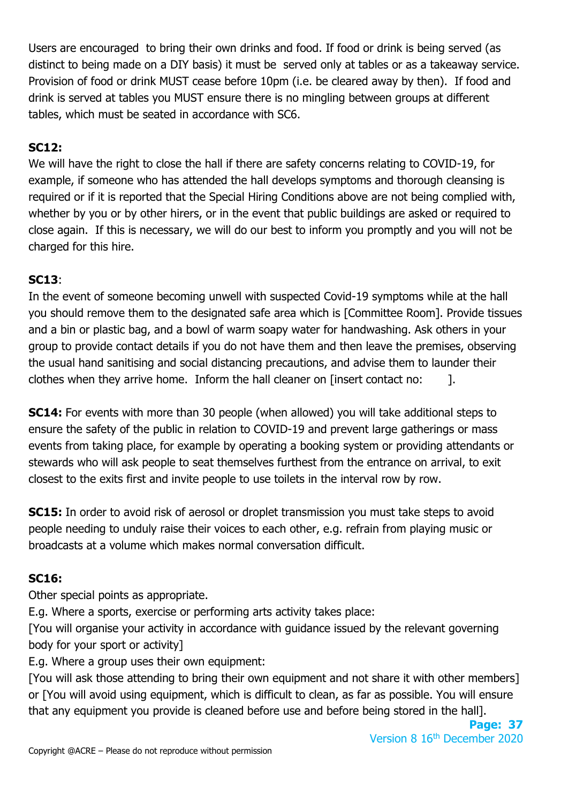Users are encouraged to bring their own drinks and food. If food or drink is being served (as distinct to being made on a DIY basis) it must be served only at tables or as a takeaway service. Provision of food or drink MUST cease before 10pm (i.e. be cleared away by then). If food and drink is served at tables you MUST ensure there is no mingling between groups at different tables, which must be seated in accordance with SC6.

# **SC12:**

We will have the right to close the hall if there are safety concerns relating to COVID-19, for example, if someone who has attended the hall develops symptoms and thorough cleansing is required or if it is reported that the Special Hiring Conditions above are not being complied with, whether by you or by other hirers, or in the event that public buildings are asked or required to close again. If this is necessary, we will do our best to inform you promptly and you will not be charged for this hire.

# **SC13**:

In the event of someone becoming unwell with suspected Covid-19 symptoms while at the hall you should remove them to the designated safe area which is [Committee Room]. Provide tissues and a bin or plastic bag, and a bowl of warm soapy water for handwashing. Ask others in your group to provide contact details if you do not have them and then leave the premises, observing the usual hand sanitising and social distancing precautions, and advise them to launder their clothes when they arrive home. Inform the hall cleaner on [insert contact no: [].

**SC14:** For events with more than 30 people (when allowed) you will take additional steps to ensure the safety of the public in relation to COVID-19 and prevent large gatherings or mass events from taking place, for example by operating a booking system or providing attendants or stewards who will ask people to seat themselves furthest from the entrance on arrival, to exit closest to the exits first and invite people to use toilets in the interval row by row.

**SC15:** In order to avoid risk of aerosol or droplet transmission you must take steps to avoid people needing to unduly raise their voices to each other, e.g. refrain from playing music or broadcasts at a volume which makes normal conversation difficult.

# **SC16:**

Other special points as appropriate.

E.g. Where a sports, exercise or performing arts activity takes place:

[You will organise your activity in accordance with guidance issued by the relevant governing body for your sport or activity]

E.g. Where a group uses their own equipment:

[You will ask those attending to bring their own equipment and not share it with other members] or [You will avoid using equipment, which is difficult to clean, as far as possible. You will ensure that any equipment you provide is cleaned before use and before being stored in the hall].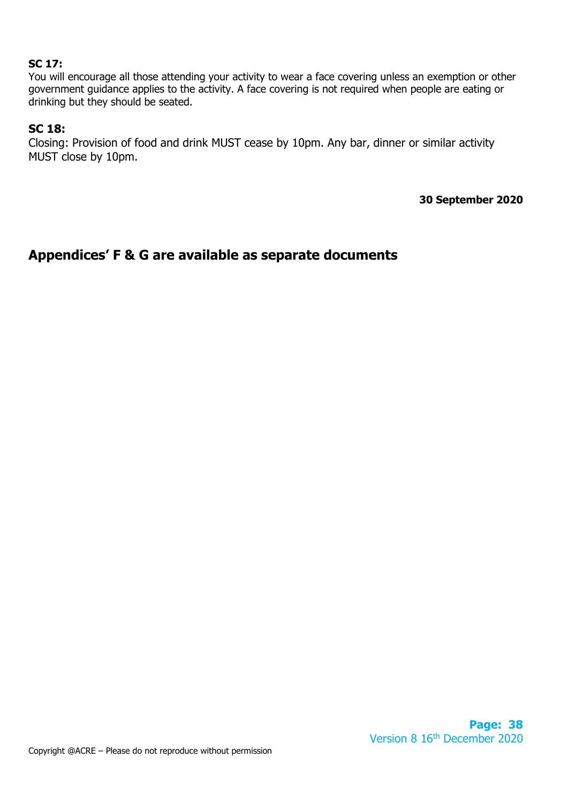# **SC 17:**

You will encourage all those attending your activity to wear a face covering unless an exemption or other government guidance applies to the activity. A face covering is not required when people are eating or drinking but they should be seated.

#### **SC 18:**

Closing: Provision of food and drink MUST cease by 10pm. Any bar, dinner or similar activity MUST close by 10pm.

**30 September 2020**

# **Appendices' F & G are available as separate documents**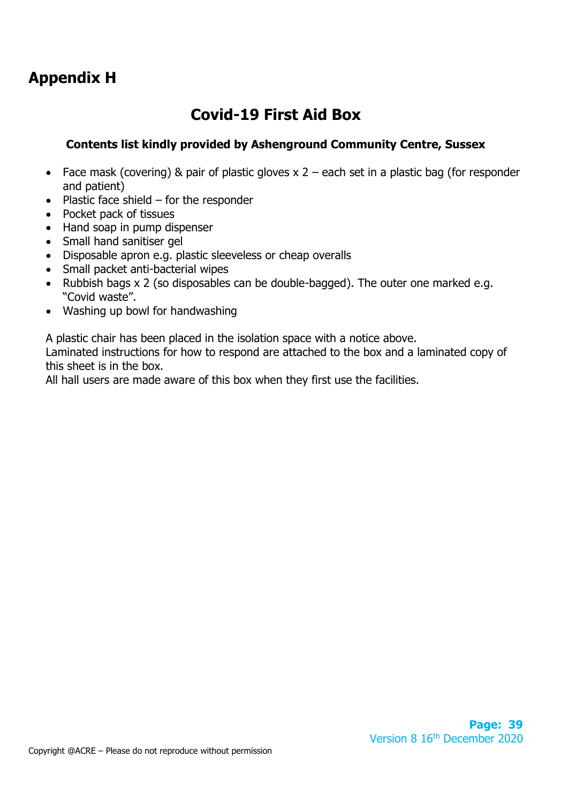# **Appendix H**

# **Covid-19 First Aid Box**

# **Contents list kindly provided by Ashenground Community Centre, Sussex**

- Face mask (covering) & pair of plastic gloves  $x 2$  each set in a plastic bag (for responder and patient)
- Plastic face shield for the responder
- Pocket pack of tissues
- Hand soap in pump dispenser
- Small hand sanitiser gel
- Disposable apron e.g. plastic sleeveless or cheap overalls
- Small packet anti-bacterial wipes
- Rubbish bags x 2 (so disposables can be double-bagged). The outer one marked e.g. "Covid waste".
- Washing up bowl for handwashing

A plastic chair has been placed in the isolation space with a notice above.

Laminated instructions for how to respond are attached to the box and a laminated copy of this sheet is in the box.

All hall users are made aware of this box when they first use the facilities.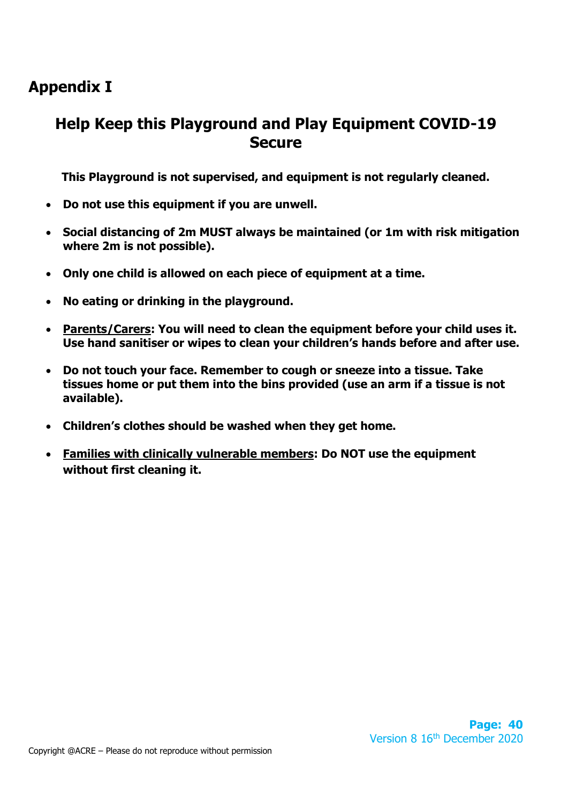# **Appendix I**

# **Help Keep this Playground and Play Equipment COVID-19 Secure**

**This Playground is not supervised, and equipment is not regularly cleaned.**

- **Do not use this equipment if you are unwell.**
- **Social distancing of 2m MUST always be maintained (or 1m with risk mitigation where 2m is not possible).**
- **Only one child is allowed on each piece of equipment at a time.**
- **No eating or drinking in the playground.**
- **Parents/Carers: You will need to clean the equipment before your child uses it. Use hand sanitiser or wipes to clean your children's hands before and after use.**
- **Do not touch your face. Remember to cough or sneeze into a tissue. Take tissues home or put them into the bins provided (use an arm if a tissue is not available).**
- **Children's clothes should be washed when they get home.**
- **Families with clinically vulnerable members: Do NOT use the equipment without first cleaning it.**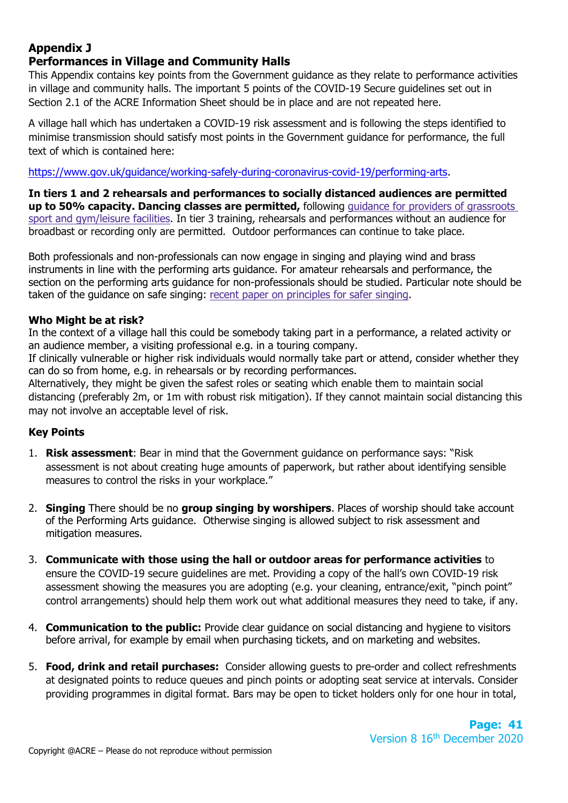## **Appendix J Performances in Village and Community Halls**

This Appendix contains key points from the Government guidance as they relate to performance activities in village and community halls. The important 5 points of the COVID-19 Secure guidelines set out in Section 2.1 of the ACRE Information Sheet should be in place and are not repeated here.

A village hall which has undertaken a COVID-19 risk assessment and is following the steps identified to minimise transmission should satisfy most points in the Government guidance for performance, the full text of which is contained here:

[https://www.gov.uk/guidance/working-safely-during-coronavirus-covid-19/performing-arts.](https://www.gov.uk/guidance/working-safely-during-coronavirus-covid-19/performing-arts)

**In tiers 1 and 2 rehearsals and performances to socially distanced audiences are permitted up to 50% capacity. Dancing classes are permitted,** following guidance for providers of [grassroots](https://www.gov.uk/guidance/working-safely-during-coronavirus-covid-19/providers-of-grassroots-sport-and-gym-leisure-facilities) sport and [gym/leisure](https://www.gov.uk/guidance/working-safely-during-coronavirus-covid-19/providers-of-grassroots-sport-and-gym-leisure-facilities) facilities. In tier 3 training, rehearsals and performances without an audience for broadbast or recording only are permitted. Outdoor performances can continue to take place.

Both professionals and non-professionals can now engage in singing and playing wind and brass instruments in line with the performing arts guidance. For amateur rehearsals and performance, the section on the performing arts guidance for non-professionals should be studied. Particular note should be taken of the guidance on safe singing: recent paper on [principles](https://www.gov.uk/government/publications/covid-19-suggested-principles-of-safer-singing) for safer singing.

# **Who Might be at risk?**

In the context of a village hall this could be somebody taking part in a performance, a related activity or an audience member, a visiting professional e.g. in a touring company.

If clinically vulnerable or higher risk individuals would normally take part or attend, consider whether they can do so from home, e.g. in rehearsals or by recording performances.

Alternatively, they might be given the safest roles or seating which enable them to maintain social distancing (preferably 2m, or 1m with robust risk mitigation). If they cannot maintain social distancing this may not involve an acceptable level of risk.

# **Key Points**

- 1. **Risk assessment**: Bear in mind that the Government guidance on performance says: "Risk assessment is not about creating huge amounts of paperwork, but rather about identifying sensible measures to control the risks in your workplace."
- 2. **Singing** There should be no **group singing by worshipers**. Places of worship should take account of the Performing Arts guidance. Otherwise singing is allowed subject to risk assessment and mitigation measures.
- 3. **Communicate with those using the hall or outdoor areas for performance activities** to ensure the COVID-19 secure guidelines are met. Providing a copy of the hall's own COVID-19 risk assessment showing the measures you are adopting (e.g. your cleaning, entrance/exit, "pinch point" control arrangements) should help them work out what additional measures they need to take, if any.
- 4. **Communication to the public:** Provide clear guidance on social distancing and hygiene to visitors before arrival, for example by email when purchasing tickets, and on marketing and websites.
- 5. **Food, drink and retail purchases:** Consider allowing guests to pre-order and collect refreshments at designated points to reduce queues and pinch points or adopting seat service at intervals. Consider providing programmes in digital format. Bars may be open to ticket holders only for one hour in total,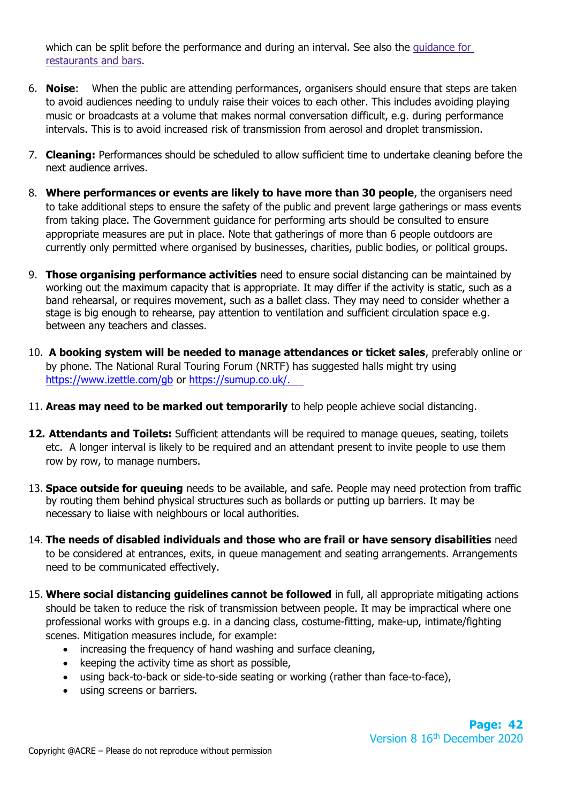which can be split before the performance and during an interval. See also the [guidance](https://www.gov.uk/guidance/working-safely-during-coronavirus-covid-19/restaurants-offering-takeaway-or-delivery) for [restaurants](https://www.gov.uk/guidance/working-safely-during-coronavirus-covid-19/restaurants-offering-takeaway-or-delivery) and bars.

- 6. **Noise**: When the public are attending performances, organisers should ensure that steps are taken to avoid audiences needing to unduly raise their voices to each other. This includes avoiding playing music or broadcasts at a volume that makes normal conversation difficult, e.g. during performance intervals. This is to avoid increased risk of transmission from aerosol and droplet transmission.
- 7. **Cleaning:** Performances should be scheduled to allow sufficient time to undertake cleaning before the next audience arrives.
- 8. **Where performances or events are likely to have more than 30 people**, the organisers need to take additional steps to ensure the safety of the public and prevent large gatherings or mass events from taking place. The Government guidance for performing arts should be consulted to ensure appropriate measures are put in place. Note that gatherings of more than 6 people outdoors are currently only permitted where organised by businesses, charities, public bodies, or political groups.
- 9. **Those organising performance activities** need to ensure social distancing can be maintained by working out the maximum capacity that is appropriate. It may differ if the activity is static, such as a band rehearsal, or requires movement, such as a ballet class. They may need to consider whether a stage is big enough to rehearse, pay attention to ventilation and sufficient circulation space e.g. between any teachers and classes.
- 10. **A booking system will be needed to manage attendances or ticket sales**, preferably online or by phone. The National Rural Touring Forum (NRTF) has suggested halls might try using <https://www.izettle.com/gb> or [https://sumup.co.uk/.](https://sumup.co.uk/)
- 11. **Areas may need to be marked out temporarily** to help people achieve social distancing.
- **12. Attendants and Toilets:** Sufficient attendants will be required to manage queues, seating, toilets etc. A longer interval is likely to be required and an attendant present to invite people to use them row by row, to manage numbers.
- 13. **Space outside for queuing** needs to be available, and safe. People may need protection from traffic by routing them behind physical structures such as bollards or putting up barriers. It may be necessary to liaise with neighbours or local authorities.
- 14. **The needs of disabled individuals and those who are frail or have sensory disabilities** need to be considered at entrances, exits, in queue management and seating arrangements. Arrangements need to be communicated effectively.
- 15. **Where social distancing guidelines cannot be followed** in full, all appropriate mitigating actions should be taken to reduce the risk of transmission between people. It may be impractical where one professional works with groups e.g. in a dancing class, costume-fitting, make-up, intimate/fighting scenes. Mitigation measures include, for example:
	- increasing the frequency of hand washing and surface cleaning,
	- keeping the activity time as short as possible,
	- using back-to-back or side-to-side seating or working (rather than face-to-face),
	- using screens or barriers.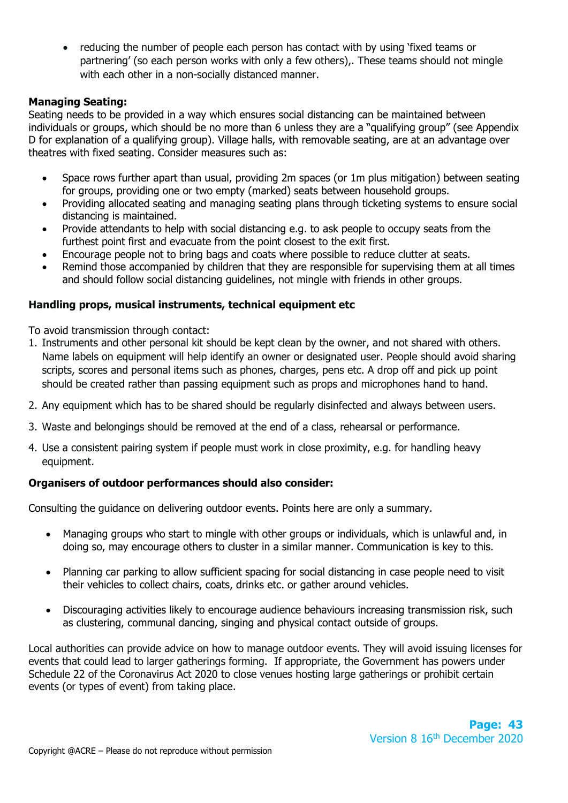• reducing the number of people each person has contact with by using 'fixed teams or partnering' (so each person works with only a few others),. These teams should not mingle with each other in a non-socially distanced manner.

## **Managing Seating:**

Seating needs to be provided in a way which ensures social distancing can be maintained between individuals or groups, which should be no more than 6 unless they are a "qualifying group" (see Appendix D for explanation of a qualifying group). Village halls, with removable seating, are at an advantage over theatres with fixed seating. Consider measures such as:

- Space rows further apart than usual, providing 2m spaces (or 1m plus mitigation) between seating for groups, providing one or two empty (marked) seats between household groups.
- Providing allocated seating and managing seating plans through ticketing systems to ensure social distancing is maintained.
- Provide attendants to help with social distancing e.g. to ask people to occupy seats from the furthest point first and evacuate from the point closest to the exit first.
- Encourage people not to bring bags and coats where possible to reduce clutter at seats.
- Remind those accompanied by children that they are responsible for supervising them at all times and should follow social distancing guidelines, not mingle with friends in other groups.

## **Handling props, musical instruments, technical equipment etc**

To avoid transmission through contact:

- 1. Instruments and other personal kit should be kept clean by the owner, and not shared with others. Name labels on equipment will help identify an owner or designated user. People should avoid sharing scripts, scores and personal items such as phones, charges, pens etc. A drop off and pick up point should be created rather than passing equipment such as props and microphones hand to hand.
- 2. Any equipment which has to be shared should be regularly disinfected and always between users.
- 3. Waste and belongings should be removed at the end of a class, rehearsal or performance.
- 4. Use a consistent pairing system if people must work in close proximity, e.g. for handling heavy equipment.

## **Organisers of outdoor performances should also consider:**

Consulting the guidance on delivering outdoor events. Points here are only a summary.

- Managing groups who start to mingle with other groups or individuals, which is unlawful and, in doing so, may encourage others to cluster in a similar manner. Communication is key to this.
- Planning car parking to allow sufficient spacing for social distancing in case people need to visit their vehicles to collect chairs, coats, drinks etc. or gather around vehicles.
- Discouraging activities likely to encourage audience behaviours increasing transmission risk, such as clustering, communal dancing, singing and physical contact outside of groups.

Local authorities can provide advice on how to manage outdoor events. They will avoid issuing licenses for events that could lead to larger gatherings forming. If appropriate, the Government has powers under Schedule 22 of the Coronavirus Act 2020 to close venues hosting large gatherings or prohibit certain events (or types of event) from taking place.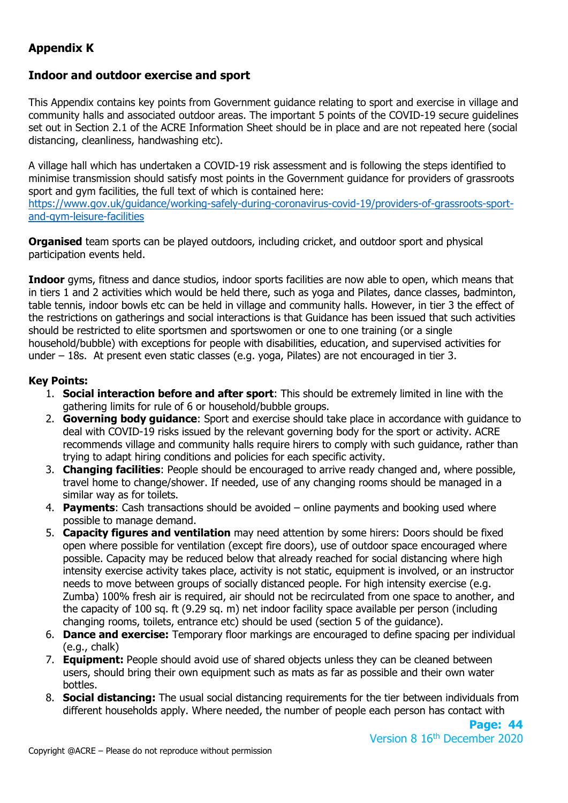# **Appendix K**

# **Indoor and outdoor exercise and sport**

This Appendix contains key points from Government guidance relating to sport and exercise in village and community halls and associated outdoor areas. The important 5 points of the COVID-19 secure guidelines set out in Section 2.1 of the ACRE Information Sheet should be in place and are not repeated here (social distancing, cleanliness, handwashing etc).

A village hall which has undertaken a COVID-19 risk assessment and is following the steps identified to minimise transmission should satisfy most points in the Government guidance for providers of grassroots sport and gym facilities, the full text of which is contained here: [https://www.gov.uk/guidance/working-safely-during-coronavirus-covid-19/providers-of-grassroots-sport-](https://www.gov.uk/guidance/working-safely-during-coronavirus-covid-19/providers-of-grassroots-sport-and-gym-leisure-facilities)

[and-gym-leisure-facilities](https://www.gov.uk/guidance/working-safely-during-coronavirus-covid-19/providers-of-grassroots-sport-and-gym-leisure-facilities)

**Organised** team sports can be played outdoors, including cricket, and outdoor sport and physical participation events held.

**Indoor** gyms, fitness and dance studios, indoor sports facilities are now able to open, which means that in tiers 1 and 2 activities which would be held there, such as yoga and Pilates, dance classes, badminton, table tennis, indoor bowls etc can be held in village and community halls. However, in tier 3 the effect of the restrictions on gatherings and social interactions is that Guidance has been issued that such activities should be restricted to elite sportsmen and sportswomen or one to one training (or a single household/bubble) with exceptions for people with disabilities, education, and supervised activities for under – 18s. At present even static classes (e.g. yoga, Pilates) are not encouraged in tier 3.

## **Key Points:**

- 1. **Social interaction before and after sport**: This should be extremely limited in line with the gathering limits for rule of 6 or household/bubble groups.
- 2. **Governing body guidance**: Sport and exercise should take place in accordance with guidance to deal with COVID-19 risks issued by the relevant governing body for the sport or activity. ACRE recommends village and community halls require hirers to comply with such guidance, rather than trying to adapt hiring conditions and policies for each specific activity.
- 3. **Changing facilities**: People should be encouraged to arrive ready changed and, where possible, travel home to change/shower. If needed, use of any changing rooms should be managed in a similar way as for toilets.
- 4. **Payments**: Cash transactions should be avoided online payments and booking used where possible to manage demand.
- 5. **Capacity figures and ventilation** may need attention by some hirers: Doors should be fixed open where possible for ventilation (except fire doors), use of outdoor space encouraged where possible. Capacity may be reduced below that already reached for social distancing where high intensity exercise activity takes place, activity is not static, equipment is involved, or an instructor needs to move between groups of socially distanced people. For high intensity exercise (e.g. Zumba) 100% fresh air is required, air should not be recirculated from one space to another, and the capacity of 100 sq. ft (9.29 sq. m) net indoor facility space available per person (including changing rooms, toilets, entrance etc) should be used (section 5 of the guidance).
- 6. **Dance and exercise:** Temporary floor markings are encouraged to define spacing per individual (e.g., chalk)
- 7. **Equipment:** People should avoid use of shared objects unless they can be cleaned between users, should bring their own equipment such as mats as far as possible and their own water bottles.
- 8. **Social distancing:** The usual social distancing requirements for the tier between individuals from different households apply. Where needed, the number of people each person has contact with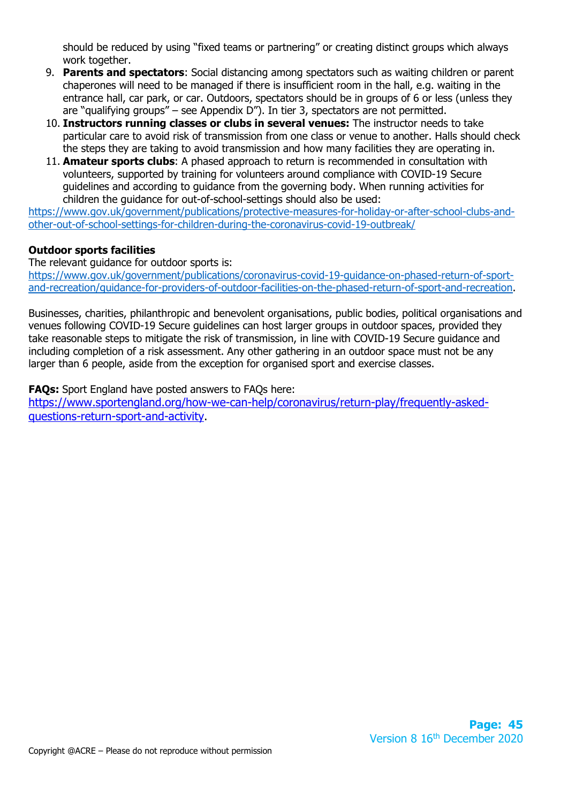should be reduced by using "fixed teams or partnering" or creating distinct groups which always work together.

- 9. **Parents and spectators**: Social distancing among spectators such as waiting children or parent chaperones will need to be managed if there is insufficient room in the hall, e.g. waiting in the entrance hall, car park, or car. Outdoors, spectators should be in groups of 6 or less (unless they are "qualifying groups" – see Appendix D"). In tier 3, spectators are not permitted.
- 10. **Instructors running classes or clubs in several venues:** The instructor needs to take particular care to avoid risk of transmission from one class or venue to another. Halls should check the steps they are taking to avoid transmission and how many facilities they are operating in.
- 11. **Amateur sports clubs**: A phased approach to return is recommended in consultation with volunteers, supported by training for volunteers around compliance with COVID-19 Secure guidelines and according to guidance from the governing body. When running activities for children the guidance for out-of-school-settings should also be used:

[https://www.gov.uk/government/publications/protective-measures-for-holiday-or-after-school-clubs-and](https://www.gov.uk/government/publications/protective-measures-for-holiday-or-after-school-clubs-and-other-out-of-school-settings-for-children-during-the-coronavirus-covid-19-outbreak/)[other-out-of-school-settings-for-children-during-the-coronavirus-covid-19-outbreak/](https://www.gov.uk/government/publications/protective-measures-for-holiday-or-after-school-clubs-and-other-out-of-school-settings-for-children-during-the-coronavirus-covid-19-outbreak/) 

## **Outdoor sports facilities**

The relevant guidance for outdoor sports is:

[https://www.gov.uk/government/publications/coronavirus-covid-19-guidance-on-phased-return-of-sport](https://www.gov.uk/government/publications/coronavirus-covid-19-guidance-on-phased-return-of-sport-and-recreation/guidance-for-providers-of-outdoor-facilities-on-the-phased-return-of-sport-and-recreation)[and-recreation/guidance-for-providers-of-outdoor-facilities-on-the-phased-return-of-sport-and-recreation.](https://www.gov.uk/government/publications/coronavirus-covid-19-guidance-on-phased-return-of-sport-and-recreation/guidance-for-providers-of-outdoor-facilities-on-the-phased-return-of-sport-and-recreation)

Businesses, charities, philanthropic and benevolent organisations, public bodies, political organisations and venues following COVID-19 Secure guidelines can host larger groups in outdoor spaces, provided they take reasonable steps to mitigate the risk of transmission, in line with COVID-19 Secure guidance and including completion of a risk assessment. Any other gathering in an outdoor space must not be any larger than 6 people, aside from the exception for organised sport and exercise classes.

**FAQs:** Sport England have posted answers to FAQs here: [https://www.sportengland.org/how-we-can-help/coronavirus/return-play/frequently-asked](https://www.sportengland.org/how-we-can-help/coronavirus/return-play/frequently-asked-questions-return-sport-and-activity)[questions-return-sport-and-activity.](https://www.sportengland.org/how-we-can-help/coronavirus/return-play/frequently-asked-questions-return-sport-and-activity)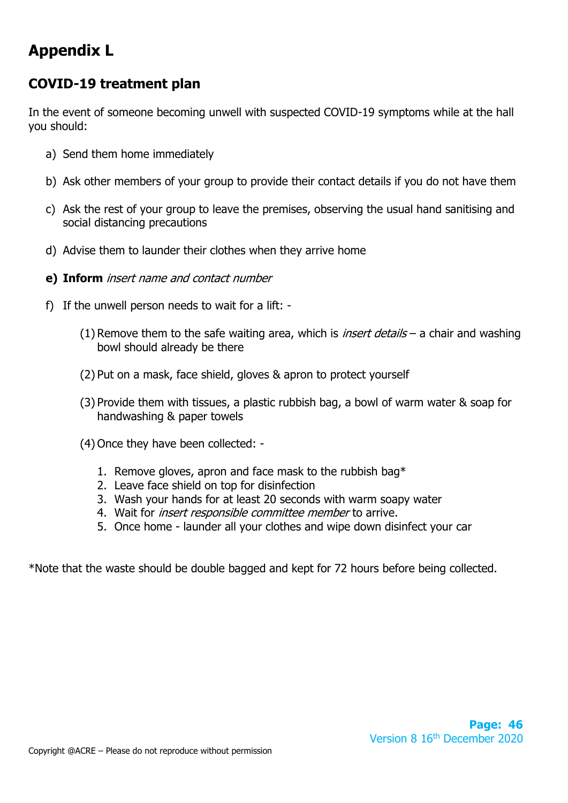# **Appendix L**

# **COVID-19 treatment plan**

In the event of someone becoming unwell with suspected COVID-19 symptoms while at the hall you should:

- a) Send them home immediately
- b) Ask other members of your group to provide their contact details if you do not have them
- c) Ask the rest of your group to leave the premises, observing the usual hand sanitising and social distancing precautions
- d) Advise them to launder their clothes when they arrive home
- **e) Inform** insert name and contact number
- f) If the unwell person needs to wait for a lift:
	- (1) Remove them to the safe waiting area, which is *insert details* a chair and washing bowl should already be there
	- (2) Put on a mask, face shield, gloves & apron to protect yourself
	- (3) Provide them with tissues, a plastic rubbish bag, a bowl of warm water & soap for handwashing & paper towels
	- (4) Once they have been collected:
		- 1. Remove gloves, apron and face mask to the rubbish bag\*
		- 2. Leave face shield on top for disinfection
		- 3. Wash your hands for at least 20 seconds with warm soapy water
		- 4. Wait for *insert responsible committee member* to arrive.
		- 5. Once home launder all your clothes and wipe down disinfect your car

\*Note that the waste should be double bagged and kept for 72 hours before being collected.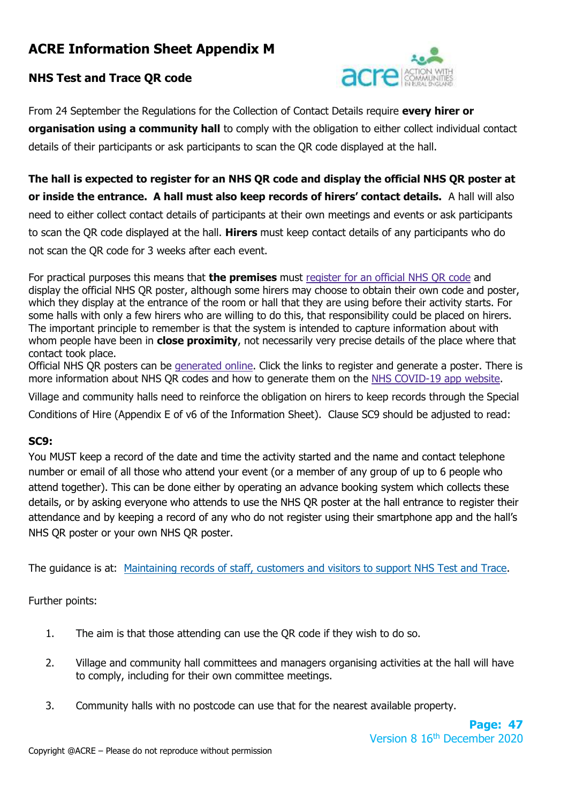# **ACRE Information Sheet Appendix M**

# **NHS Test and Trace QR code**



From 24 September the Regulations for the Collection of Contact Details require **every hirer or organisation using a community hall** to comply with the obligation to either collect individual contact details of their participants or ask participants to scan the QR code displayed at the hall.

**The hall is expected to register for an NHS QR code and display the official NHS QR poster at or inside the entrance. A hall must also keep records of hirers' contact details.** A hall will also need to either collect contact details of participants at their own meetings and events or ask participants to scan the QR code displayed at the hall. **Hirers** must keep contact details of any participants who do not scan the QR code for 3 weeks after each event.

For practical purposes this means that **the premises** must [register](https://www.gov.uk/create-coronavirus-qr-poster) for an official NHS QR code and display the official NHS QR poster, although some hirers may choose to obtain their own code and poster, which they display at the entrance of the room or hall that they are using before their activity starts. For some halls with only a few hirers who are willing to do this, that responsibility could be placed on hirers. The important principle to remember is that the system is intended to capture information about with whom people have been in **close proximity**, not necessarily very precise details of the place where that contact took place.

Official NHS QR posters can be [generated](https://www.gov.uk/create-coronavirus-qr-poster) online. Click the links to register and generate a poster. There is more information about NHS QR codes and how to generate them on the NHS [COVID-19](https://covid19.nhs.uk/venue-check-in.html) app website.

Village and community halls need to reinforce the obligation on hirers to keep records through the Special Conditions of Hire (Appendix E of v6 of the Information Sheet). Clause SC9 should be adjusted to read:

## **SC9:**

You MUST keep a record of the date and time the activity started and the name and contact telephone number or email of all those who attend your event (or a member of any group of up to 6 people who attend together). This can be done either by operating an advance booking system which collects these details, or by asking everyone who attends to use the NHS QR poster at the hall entrance to register their attendance and by keeping a record of any who do not register using their smartphone app and the hall's NHS QR poster or your own NHS QR poster.

The guidance is at: [Maintaining records of staff, customers and visitors to support NHS Test and Trace.](https://www.gov.uk/guidance/maintaining-records-of-staff-customers-and-visitors-to-support-nhs-test-and-trace?utm_source=26574a86-d87a-46bf-8383-0035631a4235&utm_medium=email&utm_campaign=govuk-notifications&utm_content=daily)

Further points:

- 1. The aim is that those attending can use the QR code if they wish to do so.
- 2. Village and community hall committees and managers organising activities at the hall will have to comply, including for their own committee meetings.
- 3. Community halls with no postcode can use that for the nearest available property.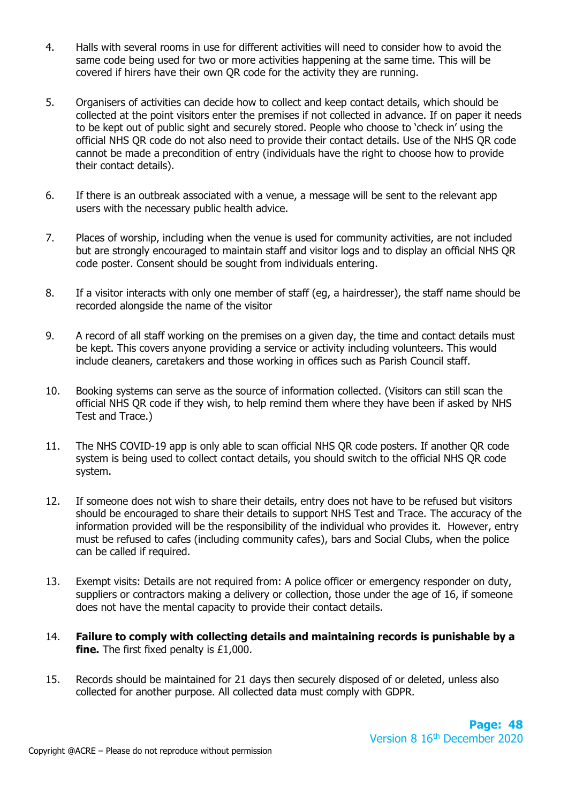- 4. Halls with several rooms in use for different activities will need to consider how to avoid the same code being used for two or more activities happening at the same time. This will be covered if hirers have their own QR code for the activity they are running.
- 5. Organisers of activities can decide how to collect and keep contact details, which should be collected at the point visitors enter the premises if not collected in advance. If on paper it needs to be kept out of public sight and securely stored. People who choose to 'check in' using the official NHS QR code do not also need to provide their contact details. Use of the NHS QR code cannot be made a precondition of entry (individuals have the right to choose how to provide their contact details).
- 6. If there is an outbreak associated with a venue, a message will be sent to the relevant app users with the necessary public health advice.
- 7. Places of worship, including when the venue is used for community activities, are not included but are strongly encouraged to maintain staff and visitor logs and to display an official NHS QR code poster. Consent should be sought from individuals entering.
- 8. If a visitor interacts with only one member of staff (eg, a hairdresser), the staff name should be recorded alongside the name of the visitor
- 9. A record of all staff working on the premises on a given day, the time and contact details must be kept. This covers anyone providing a service or activity including volunteers. This would include cleaners, caretakers and those working in offices such as Parish Council staff.
- 10. Booking systems can serve as the source of information collected. (Visitors can still scan the official NHS QR code if they wish, to help remind them where they have been if asked by NHS Test and Trace.)
- 11. The NHS COVID-19 app is only able to scan official NHS QR code posters. If another QR code system is being used to collect contact details, you should switch to the official NHS QR code system.
- 12. If someone does not wish to share their details, entry does not have to be refused but visitors should be encouraged to share their details to support NHS Test and Trace. The accuracy of the information provided will be the responsibility of the individual who provides it. However, entry must be refused to cafes (including community cafes), bars and Social Clubs, when the police can be called if required.
- 13. Exempt visits: Details are not required from: A police officer or emergency responder on duty, suppliers or contractors making a delivery or collection, those under the age of 16, if someone does not have the mental capacity to provide their contact details.
- 14. **Failure to comply with collecting details and maintaining records is punishable by a fine.** The first fixed penalty is £1,000.
- 15. Records should be maintained for 21 days then securely disposed of or deleted, unless also collected for another purpose. All collected data must comply with GDPR.